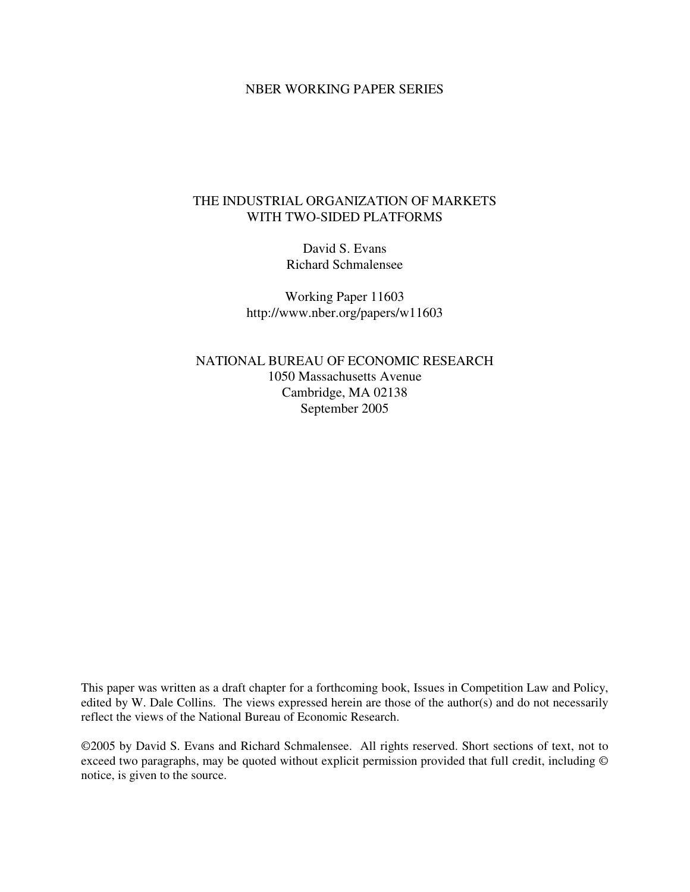# NBER WORKING PAPER SERIES

# THE INDUSTRIAL ORGANIZATION OF MARKETS WITH TWO-SIDED PLATFORMS

David S. Evans Richard Schmalensee

Working Paper 11603 http://www.nber.org/papers/w11603

NATIONAL BUREAU OF ECONOMIC RESEARCH 1050 Massachusetts Avenue Cambridge, MA 02138 September 2005

This paper was written as a draft chapter for a forthcoming book, Issues in Competition Law and Policy, edited by W. Dale Collins. The views expressed herein are those of the author(s) and do not necessarily reflect the views of the National Bureau of Economic Research.

©2005 by David S. Evans and Richard Schmalensee. All rights reserved. Short sections of text, not to exceed two paragraphs, may be quoted without explicit permission provided that full credit, including © notice, is given to the source.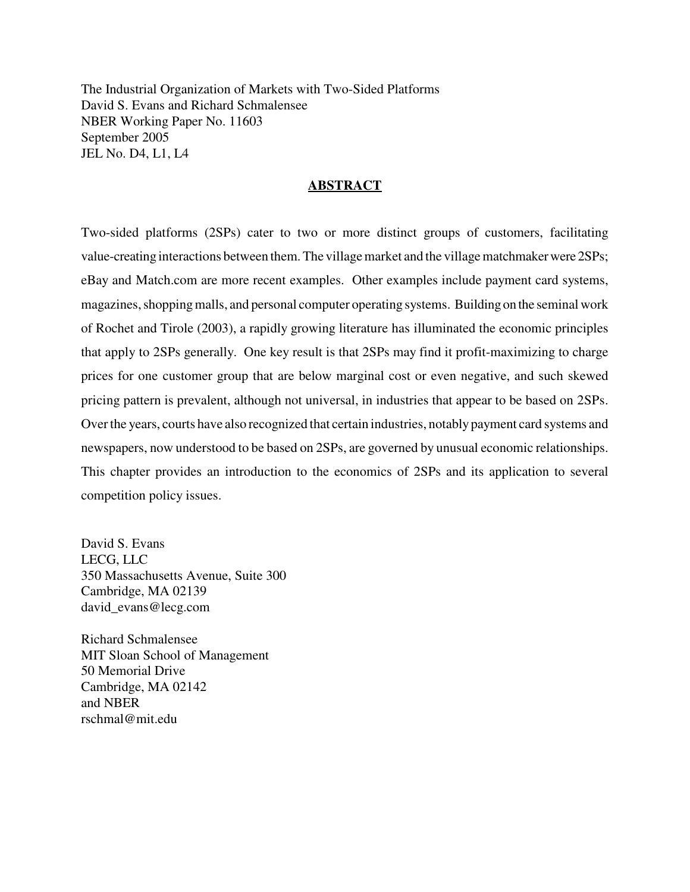The Industrial Organization of Markets with Two-Sided Platforms David S. Evans and Richard Schmalensee NBER Working Paper No. 11603 September 2005 JEL No. D4, L1, L4

# **ABSTRACT**

Two-sided platforms (2SPs) cater to two or more distinct groups of customers, facilitating value-creating interactions between them. The village market and the village matchmaker were 2SPs; eBay and Match.com are more recent examples. Other examples include payment card systems, magazines, shopping malls, and personal computer operating systems. Building on the seminal work of Rochet and Tirole (2003), a rapidly growing literature has illuminated the economic principles that apply to 2SPs generally. One key result is that 2SPs may find it profit-maximizing to charge prices for one customer group that are below marginal cost or even negative, and such skewed pricing pattern is prevalent, although not universal, in industries that appear to be based on 2SPs. Over the years, courts have also recognized that certain industries, notably payment card systems and newspapers, now understood to be based on 2SPs, are governed by unusual economic relationships. This chapter provides an introduction to the economics of 2SPs and its application to several competition policy issues.

David S. Evans LECG, LLC 350 Massachusetts Avenue, Suite 300 Cambridge, MA 02139 david\_evans@lecg.com

Richard Schmalensee MIT Sloan School of Management 50 Memorial Drive Cambridge, MA 02142 and NBER rschmal@mit.edu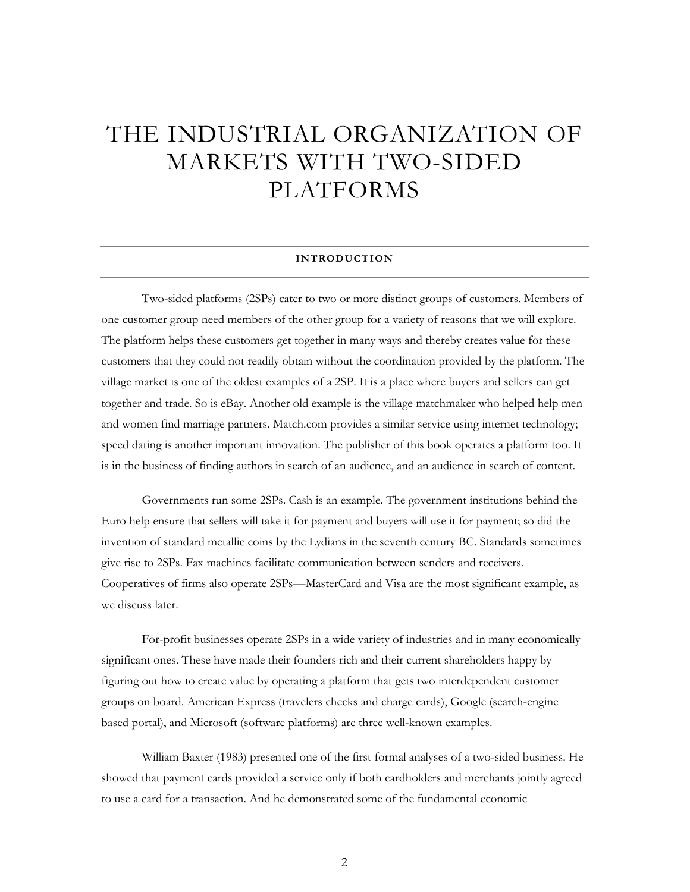# THE INDUSTRIAL ORGANIZATION OF MARKETS WITH TWO-SIDED **PLATFORMS**

### **INTRODUCTION**

Two-sided platforms (2SPs) cater to two or more distinct groups of customers. Members of one customer group need members of the other group for a variety of reasons that we will explore. The platform helps these customers get together in many ways and thereby creates value for these customers that they could not readily obtain without the coordination provided by the platform. The village market is one of the oldest examples of a 2SP. It is a place where buyers and sellers can get together and trade. So is eBay. Another old example is the village matchmaker who helped help men and women find marriage partners. Match.com provides a similar service using internet technology; speed dating is another important innovation. The publisher of this book operates a platform too. It is in the business of finding authors in search of an audience, and an audience in search of content.

Governments run some 2SPs. Cash is an example. The government institutions behind the Euro help ensure that sellers will take it for payment and buyers will use it for payment; so did the invention of standard metallic coins by the Lydians in the seventh century BC. Standards sometimes give rise to 2SPs. Fax machines facilitate communication between senders and receivers. Cooperatives of firms also operate 2SPs—MasterCard and Visa are the most significant example, as we discuss later.

For-profit businesses operate 2SPs in a wide variety of industries and in many economically significant ones. These have made their founders rich and their current shareholders happy by figuring out how to create value by operating a platform that gets two interdependent customer groups on board. American Express (travelers checks and charge cards), Google (search-engine based portal), and Microsoft (software platforms) are three well-known examples.

William Baxter (1983) presented one of the first formal analyses of a two-sided business. He showed that payment cards provided a service only if both cardholders and merchants jointly agreed to use a card for a transaction. And he demonstrated some of the fundamental economic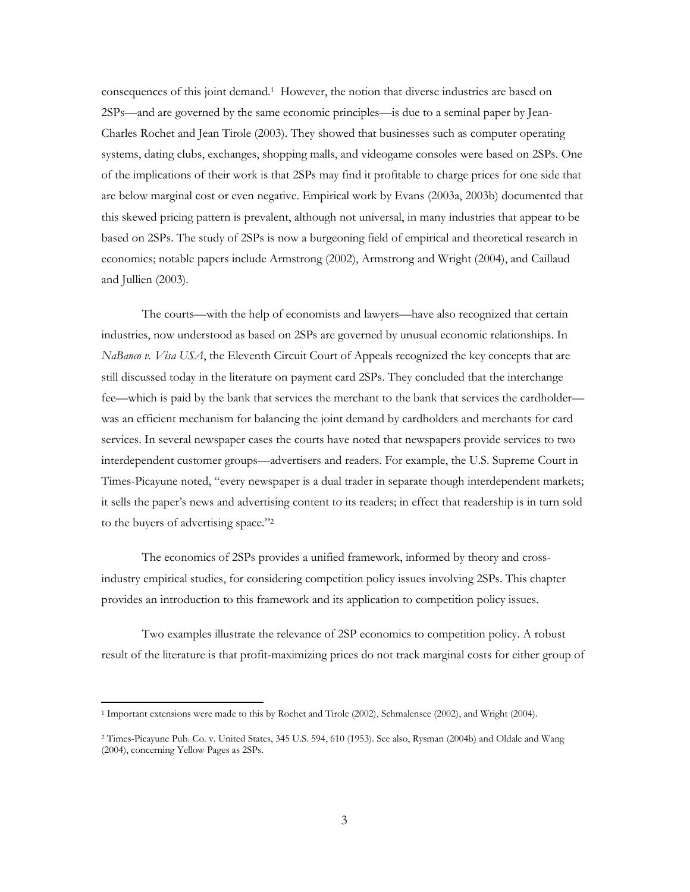consequences of this joint demand.<sup>1</sup> However, the notion that diverse industries are based on 2SPs—and are governed by the same economic principles—is due to a seminal paper by Jean-Charles Rochet and Jean Tirole (2003). They showed that businesses such as computer operating systems, dating clubs, exchanges, shopping malls, and videogame consoles were based on 2SPs. One of the implications of their work is that 2SPs may find it profitable to charge prices for one side that are below marginal cost or even negative. Empirical work by Evans (2003a, 2003b) documented that this skewed pricing pattern is prevalent, although not universal, in many industries that appear to be based on 2SPs. The study of 2SPs is now a burgeoning field of empirical and theoretical research in economics; notable papers include Armstrong (2002), Armstrong and Wright (2004), and Caillaud and Jullien (2003).

The courts—with the help of economists and lawyers—have also recognized that certain industries, now understood as based on 2SPs are governed by unusual economic relationships. In NaBanco v. Visa USA, the Eleventh Circuit Court of Appeals recognized the key concepts that are still discussed today in the literature on payment card 2SPs. They concluded that the interchange fee—which is paid by the bank that services the merchant to the bank that services the cardholder was an efficient mechanism for balancing the joint demand by cardholders and merchants for card services. In several newspaper cases the courts have noted that newspapers provide services to two interdependent customer groups—advertisers and readers. For example, the U.S. Supreme Court in Times-Picayune noted, "every newspaper is a dual trader in separate though interdependent markets; it sells the paper's news and advertising content to its readers; in effect that readership is in turn sold to the buyers of advertising space."2

The economics of 2SPs provides a unified framework, informed by theory and crossindustry empirical studies, for considering competition policy issues involving 2SPs. This chapter provides an introduction to this framework and its application to competition policy issues.

Two examples illustrate the relevance of 2SP economics to competition policy. A robust result of the literature is that profit-maximizing prices do not track marginal costs for either group of

<sup>&</sup>lt;sup>1</sup> Important extensions were made to this by Rochet and Tirole (2002), Schmalensee (2002), and Wright (2004).

<sup>&</sup>lt;sup>2</sup> Times-Picayune Pub. Co. v. United States, 345 U.S. 594, 610 (1953). See also, Rysman (2004b) and Oldale and Wang (2004), concerning Yellow Pages as 2SPs.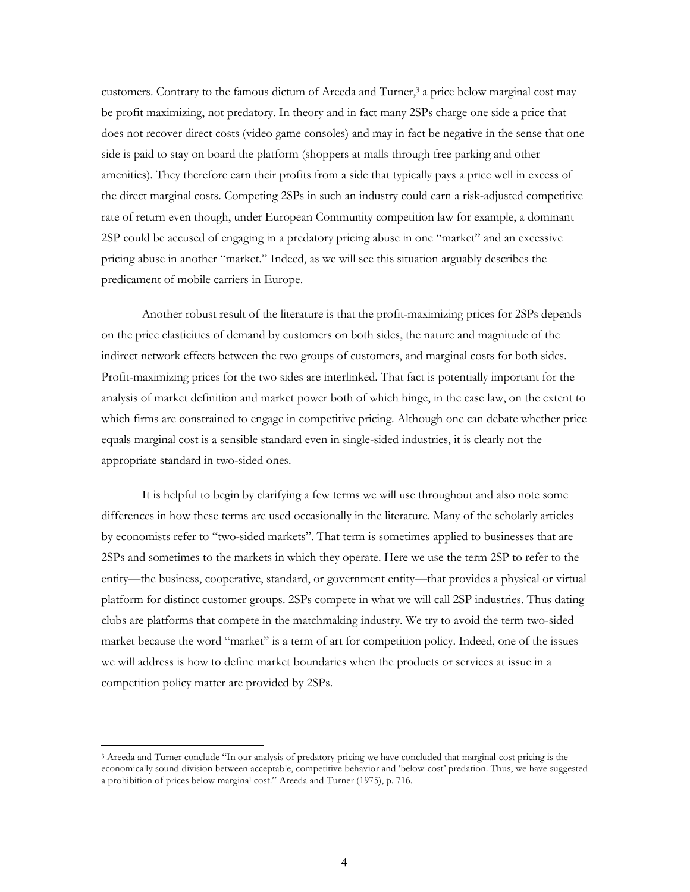customers. Contrary to the famous dictum of Areeda and Turner,<sup>3</sup> a price below marginal cost may be profit maximizing, not predatory. In theory and in fact many 2SPs charge one side a price that does not recover direct costs (video game consoles) and may in fact be negative in the sense that one side is paid to stay on board the platform (shoppers at malls through free parking and other amenities). They therefore earn their profits from a side that typically pays a price well in excess of the direct marginal costs. Competing 2SPs in such an industry could earn a risk-adjusted competitive rate of return even though, under European Community competition law for example, a dominant 2SP could be accused of engaging in a predatory pricing abuse in one "market" and an excessive pricing abuse in another "market." Indeed, as we will see this situation arguably describes the predicament of mobile carriers in Europe.

Another robust result of the literature is that the profit-maximizing prices for 2SPs depends on the price elasticities of demand by customers on both sides, the nature and magnitude of the indirect network effects between the two groups of customers, and marginal costs for both sides. Profit-maximizing prices for the two sides are interlinked. That fact is potentially important for the analysis of market definition and market power both of which hinge, in the case law, on the extent to which firms are constrained to engage in competitive pricing. Although one can debate whether price equals marginal cost is a sensible standard even in single-sided industries, it is clearly not the appropriate standard in two-sided ones.

It is helpful to begin by clarifying a few terms we will use throughout and also note some differences in how these terms are used occasionally in the literature. Many of the scholarly articles by economists refer to "two-sided markets". That term is sometimes applied to businesses that are 2SPs and sometimes to the markets in which they operate. Here we use the term 2SP to refer to the entity—the business, cooperative, standard, or government entity—that provides a physical or virtual platform for distinct customer groups. 2SPs compete in what we will call 2SP industries. Thus dating clubs are platforms that compete in the matchmaking industry. We try to avoid the term two-sided market because the word "market" is a term of art for competition policy. Indeed, one of the issues we will address is how to define market boundaries when the products or services at issue in a competition policy matter are provided by 2SPs.

<sup>&</sup>lt;sup>3</sup> Areeda and Turner conclude "In our analysis of predatory pricing we have concluded that marginal-cost pricing is the economically sound division between acceptable, competitive behavior and 'below-cost' predation. Thus, we have suggested a prohibition of prices below marginal cost." Areeda and Turner (1975), p. 716.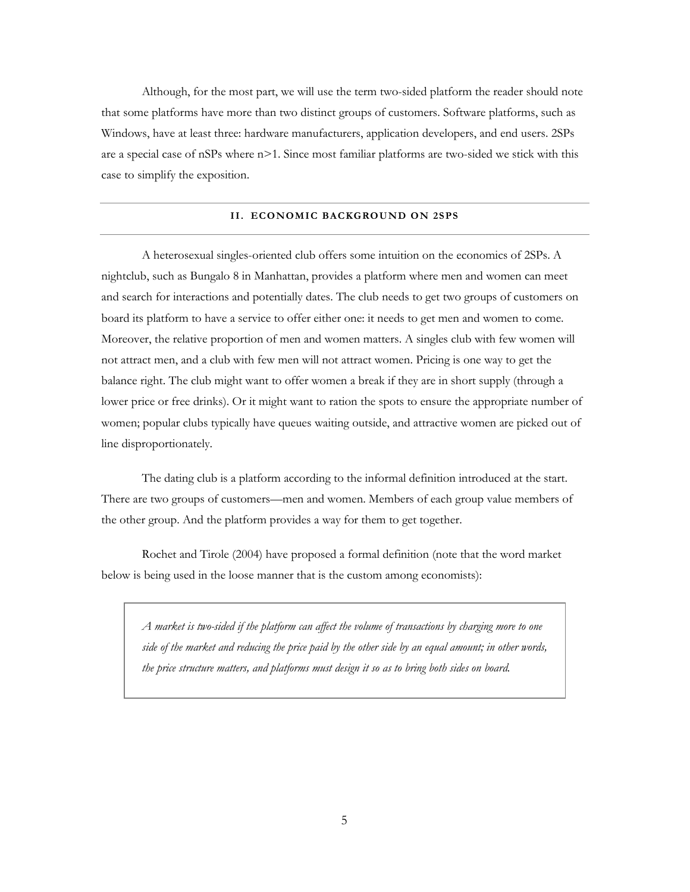Although, for the most part, we will use the term two-sided platform the reader should note that some platforms have more than two distinct groups of customers. Software platforms, such as Windows, have at least three: hardware manufacturers, application developers, and end users. 2SPs are a special case of nSPs where n>1. Since most familiar platforms are two-sided we stick with this case to simplify the exposition.

### **II. ECONOMIC BACKGROUND ON 2SPS**

A heterosexual singles-oriented club offers some intuition on the economics of 2SPs. A nightclub, such as Bungalo 8 in Manhattan, provides a platform where men and women can meet and search for interactions and potentially dates. The club needs to get two groups of customers on board its platform to have a service to offer either one: it needs to get men and women to come. Moreover, the relative proportion of men and women matters. A singles club with few women will not attract men, and a club with few men will not attract women. Pricing is one way to get the balance right. The club might want to offer women a break if they are in short supply (through a lower price or free drinks). Or it might want to ration the spots to ensure the appropriate number of women; popular clubs typically have queues waiting outside, and attractive women are picked out of line disproportionately.

The dating club is a platform according to the informal definition introduced at the start. There are two groups of customers—men and women. Members of each group value members of the other group. And the platform provides a way for them to get together.

Rochet and Tirole (2004) have proposed a formal definition (note that the word market below is being used in the loose manner that is the custom among economists):

A market is two-sided if the platform can affect the volume of transactions by charging more to one side of the market and reducing the price paid by the other side by an equal amount; in other words, the price structure matters, and platforms must design it so as to bring both sides on board.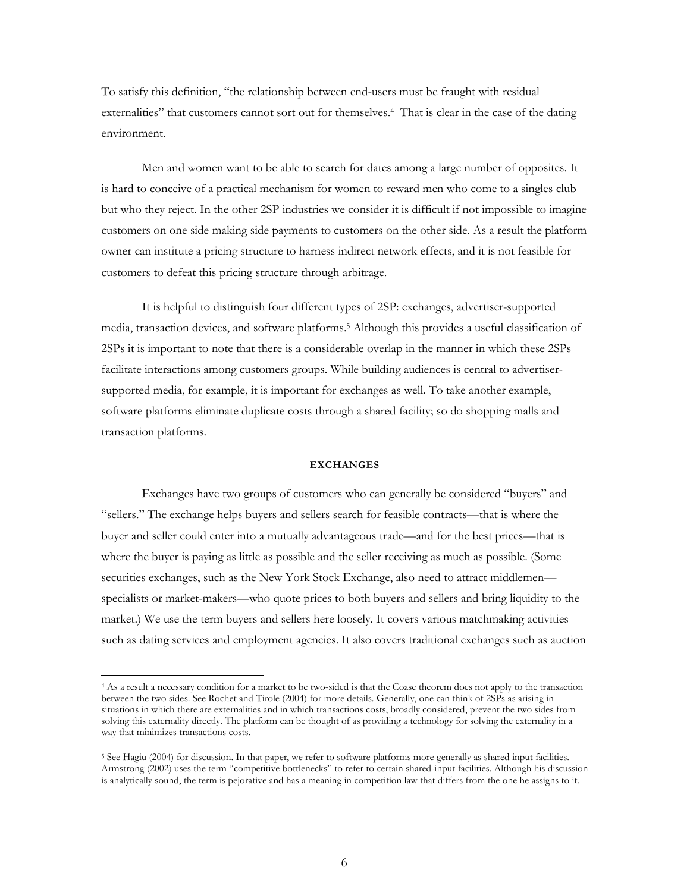To satisfy this definition, "the relationship between end-users must be fraught with residual externalities" that customers cannot sort out for themselves.<sup>4</sup> That is clear in the case of the dating environment.

Men and women want to be able to search for dates among a large number of opposites. It is hard to conceive of a practical mechanism for women to reward men who come to a singles club but who they reject. In the other 2SP industries we consider it is difficult if not impossible to imagine customers on one side making side payments to customers on the other side. As a result the platform owner can institute a pricing structure to harness indirect network effects, and it is not feasible for customers to defeat this pricing structure through arbitrage.

It is helpful to distinguish four different types of 2SP: exchanges, advertiser-supported media, transaction devices, and software platforms.<sup>5</sup> Although this provides a useful classification of 2SPs it is important to note that there is a considerable overlap in the manner in which these 2SPs facilitate interactions among customers groups. While building audiences is central to advertisersupported media, for example, it is important for exchanges as well. To take another example, software platforms eliminate duplicate costs through a shared facility; so do shopping malls and transaction platforms.

# **EXCHANGES**

Exchanges have two groups of customers who can generally be considered "buyers" and "sellers." The exchange helps buyers and sellers search for feasible contracts—that is where the buyer and seller could enter into a mutually advantageous trade—and for the best prices—that is where the buyer is paying as little as possible and the seller receiving as much as possible. (Some securities exchanges, such as the New York Stock Exchange, also need to attract middlemen specialists or market-makers—who quote prices to both buyers and sellers and bring liquidity to the market.) We use the term buyers and sellers here loosely. It covers various matchmaking activities such as dating services and employment agencies. It also covers traditional exchanges such as auction

<sup>4</sup> As a result a necessary condition for a market to be two-sided is that the Coase theorem does not apply to the transaction between the two sides. See Rochet and Tirole (2004) for more details. Generally, one can think of 2SPs as arising in situations in which there are externalities and in which transactions costs, broadly considered, prevent the two sides from solving this externality directly. The platform can be thought of as providing a technology for solving the externality in a way that minimizes transactions costs.

<sup>&</sup>lt;sup>5</sup> See Hagiu (2004) for discussion. In that paper, we refer to software platforms more generally as shared input facilities. Armstrong (2002) uses the term "competitive bottlenecks" to refer to certain shared-input facilities. Although his discussion is analytically sound, the term is pejorative and has a meaning in competition law that differs from the one he assigns to it.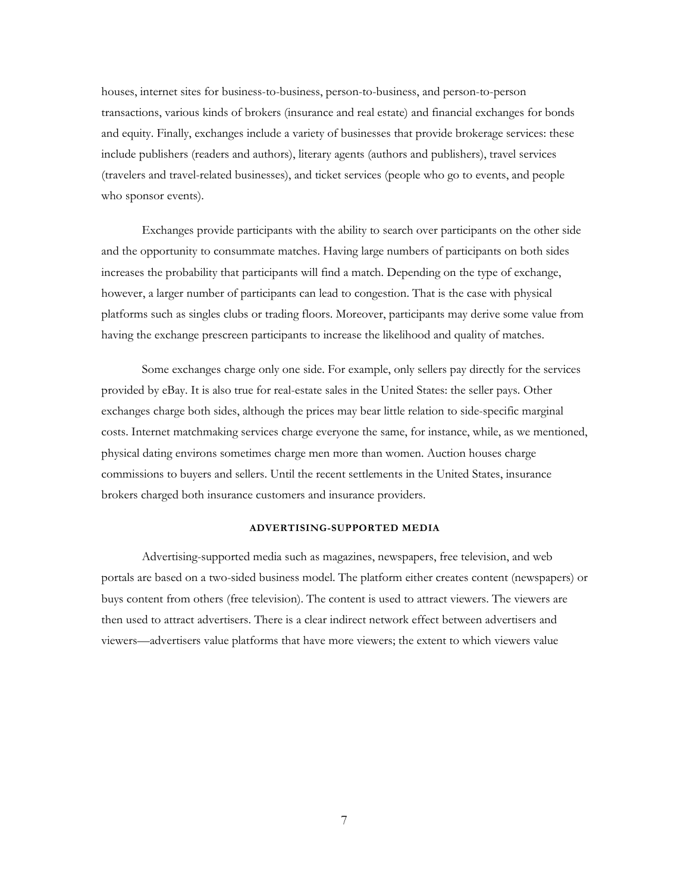houses, internet sites for business-to-business, person-to-business, and person-to-person transactions, various kinds of brokers (insurance and real estate) and financial exchanges for bonds and equity. Finally, exchanges include a variety of businesses that provide brokerage services: these include publishers (readers and authors), literary agents (authors and publishers), travel services (travelers and travel-related businesses), and ticket services (people who go to events, and people who sponsor events).

Exchanges provide participants with the ability to search over participants on the other side and the opportunity to consummate matches. Having large numbers of participants on both sides increases the probability that participants will find a match. Depending on the type of exchange, however, a larger number of participants can lead to congestion. That is the case with physical platforms such as singles clubs or trading floors. Moreover, participants may derive some value from having the exchange prescreen participants to increase the likelihood and quality of matches.

Some exchanges charge only one side. For example, only sellers pay directly for the services provided by eBay. It is also true for real-estate sales in the United States: the seller pays. Other exchanges charge both sides, although the prices may bear little relation to side-specific marginal costs. Internet matchmaking services charge everyone the same, for instance, while, as we mentioned, physical dating environs sometimes charge men more than women. Auction houses charge commissions to buyers and sellers. Until the recent settlements in the United States, insurance brokers charged both insurance customers and insurance providers.

# ADVERTISING-SUPPORTED MEDIA

Advertising-supported media such as magazines, newspapers, free television, and web portals are based on a two-sided business model. The platform either creates content (newspapers) or buys content from others (free television). The content is used to attract viewers. The viewers are then used to attract advertisers. There is a clear indirect network effect between advertisers and viewers—advertisers value platforms that have more viewers; the extent to which viewers value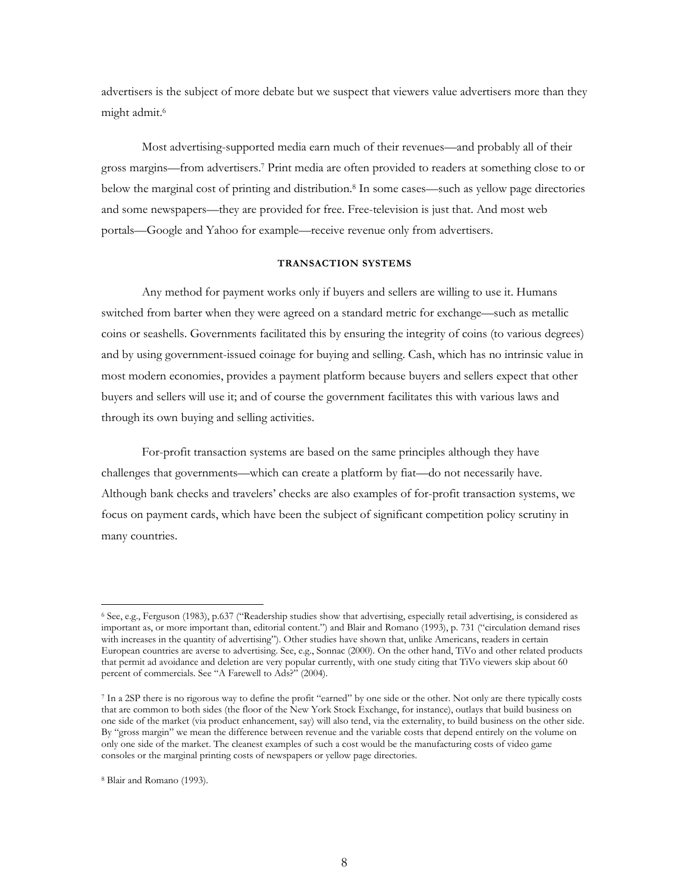advertisers is the subject of more debate but we suspect that viewers value advertisers more than they might admit.<sup>6</sup>

Most advertising-supported media earn much of their revenues—and probably all of their gross margins—from advertisers.<sup>7</sup> Print media are often provided to readers at something close to or below the marginal cost of printing and distribution.<sup>8</sup> In some cases—such as yellow page directories and some newspapers—they are provided for free. Free-television is just that. And most web portals—Google and Yahoo for example—receive revenue only from advertisers.

# **TRANSACTION SYSTEMS**

Any method for payment works only if buyers and sellers are willing to use it. Humans switched from barter when they were agreed on a standard metric for exchange—such as metallic coins or seashells. Governments facilitated this by ensuring the integrity of coins (to various degrees) and by using government-issued coinage for buying and selling. Cash, which has no intrinsic value in most modern economies, provides a payment platform because buyers and sellers expect that other buyers and sellers will use it; and of course the government facilitates this with various laws and through its own buying and selling activities.

For-profit transaction systems are based on the same principles although they have challenges that governments—which can create a platform by fiat—do not necessarily have. Although bank checks and travelers' checks are also examples of for-profit transaction systems, we focus on payment cards, which have been the subject of significant competition policy scrutiny in many countries.

 $6$  See, e.g., Ferguson (1983), p.637 ("Readership studies show that advertising, especially retail advertising, is considered as important as, or more important than, editorial content.") and Blair and Romano (1993), p. 731 ("circulation demand rises with increases in the quantity of advertising"). Other studies have shown that, unlike Americans, readers in certain European countries are averse to advertising. See, e.g., Sonnac (2000). On the other hand, TiVo and other related products that permit ad avoidance and deletion are very popular currently, with one study citing that TiVo viewers skip about 60 percent of commercials. See "A Farewell to Ads?" (2004).

<sup>7</sup> In a 2SP there is no rigorous way to define the profit "earned" by one side or the other. Not only are there typically costs that are common to both sides (the floor of the New York Stock Exchange, for instance), outlays that build business on one side of the market (via product enhancement, say) will also tend, via the externality, to build business on the other side. By "gross margin" we mean the difference between revenue and the variable costs that depend entirely on the volume on only one side of the market. The cleanest examples of such a cost would be the manufacturing costs of video game consoles or the marginal printing costs of newspapers or yellow page directories.

<sup>&</sup>lt;sup>8</sup> Blair and Romano (1993).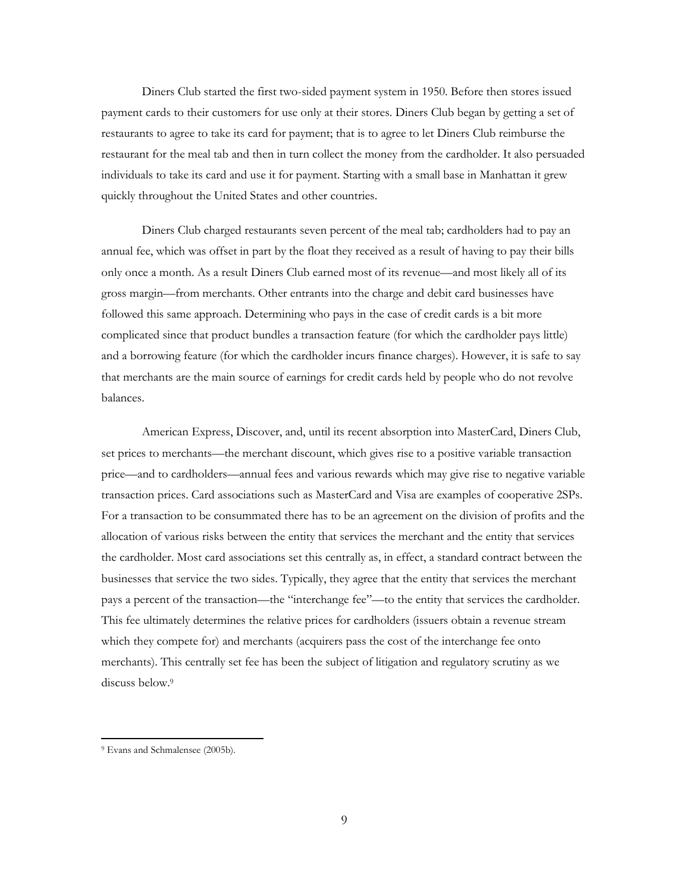Diners Club started the first two-sided payment system in 1950. Before then stores issued payment cards to their customers for use only at their stores. Diners Club began by getting a set of restaurants to agree to take its card for payment; that is to agree to let Diners Club reimburse the restaurant for the meal tab and then in turn collect the money from the cardholder. It also persuaded individuals to take its card and use it for payment. Starting with a small base in Manhattan it grew quickly throughout the United States and other countries.

Diners Club charged restaurants seven percent of the meal tab; cardholders had to pay an annual fee, which was offset in part by the float they received as a result of having to pay their bills only once a month. As a result Diners Club earned most of its revenue—and most likely all of its gross margin—from merchants. Other entrants into the charge and debit card businesses have followed this same approach. Determining who pays in the case of credit cards is a bit more complicated since that product bundles a transaction feature (for which the cardholder pays little) and a borrowing feature (for which the cardholder incurs finance charges). However, it is safe to say that merchants are the main source of earnings for credit cards held by people who do not revolve balances.

American Express, Discover, and, until its recent absorption into MasterCard, Diners Club, set prices to merchants—the merchant discount, which gives rise to a positive variable transaction price—and to cardholders—annual fees and various rewards which may give rise to negative variable transaction prices. Card associations such as MasterCard and Visa are examples of cooperative 2SPs. For a transaction to be consummated there has to be an agreement on the division of profits and the allocation of various risks between the entity that services the merchant and the entity that services the cardholder. Most card associations set this centrally as, in effect, a standard contract between the businesses that service the two sides. Typically, they agree that the entity that services the merchant pays a percent of the transaction—the "interchange fee"—to the entity that services the cardholder. This fee ultimately determines the relative prices for cardholders (issuers obtain a revenue stream which they compete for) and merchants (acquirers pass the cost of the interchange fee onto merchants). This centrally set fee has been the subject of litigation and regulatory scrutiny as we discuss below.<sup>9</sup>

<sup>&</sup>lt;sup>9</sup> Evans and Schmalensee (2005b).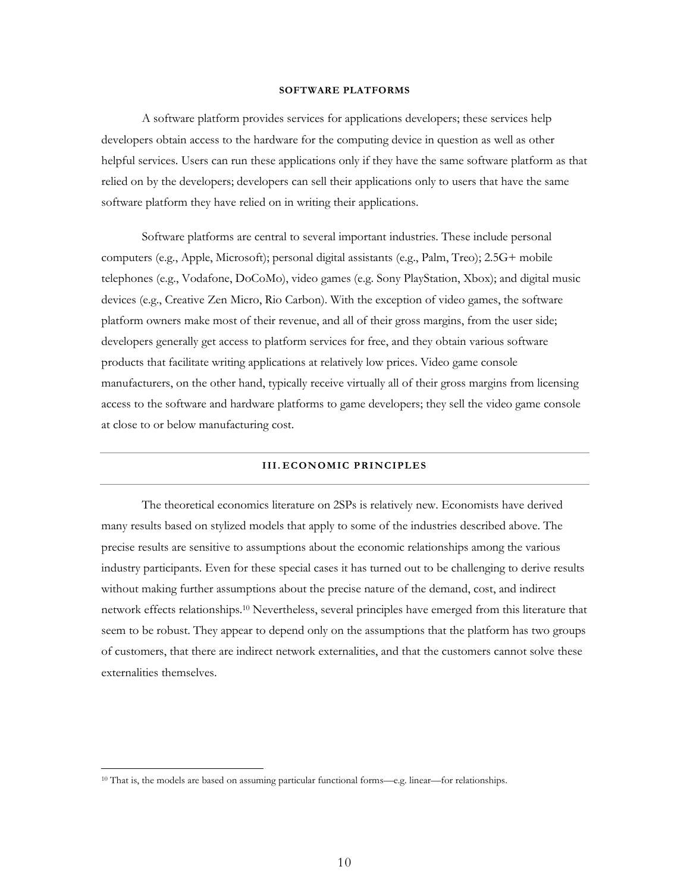#### **SOFTWARE PLATFORMS**

A software platform provides services for applications developers; these services help developers obtain access to the hardware for the computing device in question as well as other helpful services. Users can run these applications only if they have the same software platform as that relied on by the developers; developers can sell their applications only to users that have the same software platform they have relied on in writing their applications.

Software platforms are central to several important industries. These include personal computers (e.g., Apple, Microsoft); personal digital assistants (e.g., Palm, Treo); 2.5G+ mobile telephones (e.g., Vodafone, DoCoMo), video games (e.g. Sony PlayStation, Xbox); and digital music devices (e.g., Creative Zen Micro, Rio Carbon). With the exception of video games, the software platform owners make most of their revenue, and all of their gross margins, from the user side; developers generally get access to platform services for free, and they obtain various software products that facilitate writing applications at relatively low prices. Video game console manufacturers, on the other hand, typically receive virtually all of their gross margins from licensing access to the software and hardware platforms to game developers; they sell the video game console at close to or below manufacturing cost.

# **III. ECONOMIC PRINCIPLES**

The theoretical economics literature on 2SPs is relatively new. Economists have derived many results based on stylized models that apply to some of the industries described above. The precise results are sensitive to assumptions about the economic relationships among the various industry participants. Even for these special cases it has turned out to be challenging to derive results without making further assumptions about the precise nature of the demand, cost, and indirect network effects relationships.<sup>10</sup> Nevertheless, several principles have emerged from this literature that seem to be robust. They appear to depend only on the assumptions that the platform has two groups of customers, that there are indirect network externalities, and that the customers cannot solve these externalities themselves.

<sup>&</sup>lt;sup>10</sup> That is, the models are based on assuming particular functional forms—e.g. linear—for relationships.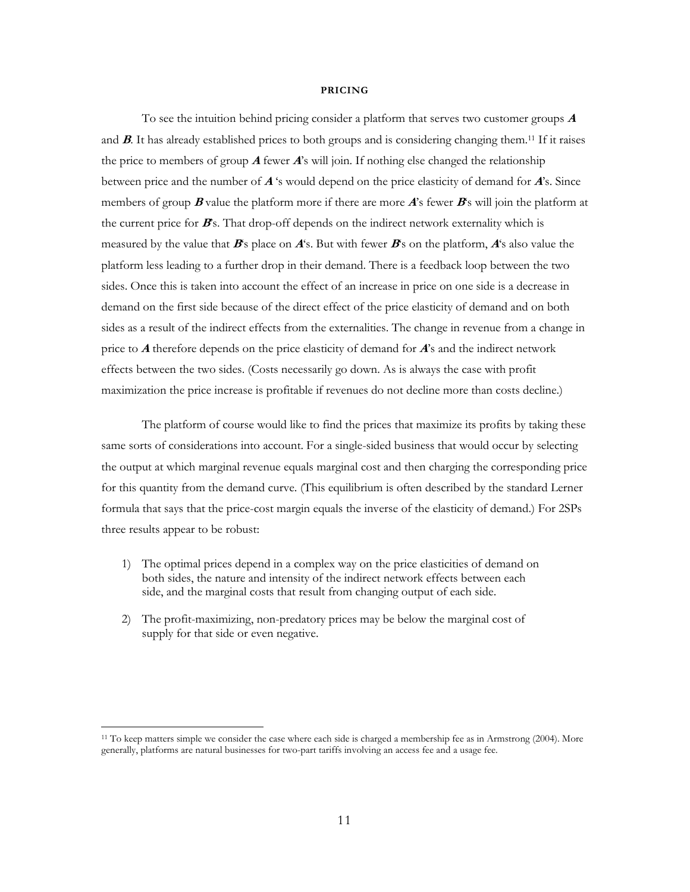#### **PRICING**

To see the intuition behind pricing consider a platform that serves two customer groups  $\boldsymbol{A}$ and  $\bm{B}$ . It has already established prices to both groups and is considering changing them.<sup>11</sup> If it raises the price to members of group  $A$  fewer  $A$ 's will join. If nothing else changed the relationship between price and the number of  $\vec{A}$  's would depend on the price elasticity of demand for  $\vec{A}$ 's. Since members of group **B** value the platform more if there are more  $\vec{A}$ 's fewer  $\vec{B}$ 's will join the platform at the current price for  $\mathbf{B}$ s. That drop-off depends on the indirect network externality which is measured by the value that  $\vec{B}$ s place on  $\vec{A}$ 's. But with fewer  $\vec{B}$ s on the platform,  $\vec{A}$ 's also value the platform less leading to a further drop in their demand. There is a feedback loop between the two sides. Once this is taken into account the effect of an increase in price on one side is a decrease in demand on the first side because of the direct effect of the price elasticity of demand and on both sides as a result of the indirect effects from the externalities. The change in revenue from a change in price to  $\vec{A}$  therefore depends on the price elasticity of demand for  $\vec{A}$ 's and the indirect network effects between the two sides. (Costs necessarily go down. As is always the case with profit maximization the price increase is profitable if revenues do not decline more than costs decline.)

The platform of course would like to find the prices that maximize its profits by taking these same sorts of considerations into account. For a single-sided business that would occur by selecting the output at which marginal revenue equals marginal cost and then charging the corresponding price for this quantity from the demand curve. (This equilibrium is often described by the standard Lerner formula that says that the price-cost margin equals the inverse of the elasticity of demand.) For 2SPs three results appear to be robust:

- 1) The optimal prices depend in a complex way on the price elasticities of demand on both sides, the nature and intensity of the indirect network effects between each side, and the marginal costs that result from changing output of each side.
- 2) The profit-maximizing, non-predatory prices may be below the marginal cost of supply for that side or even negative.

<sup>&</sup>lt;sup>11</sup> To keep matters simple we consider the case where each side is charged a membership fee as in Armstrong (2004). More generally, platforms are natural businesses for two-part tariffs involving an access fee and a usage fee.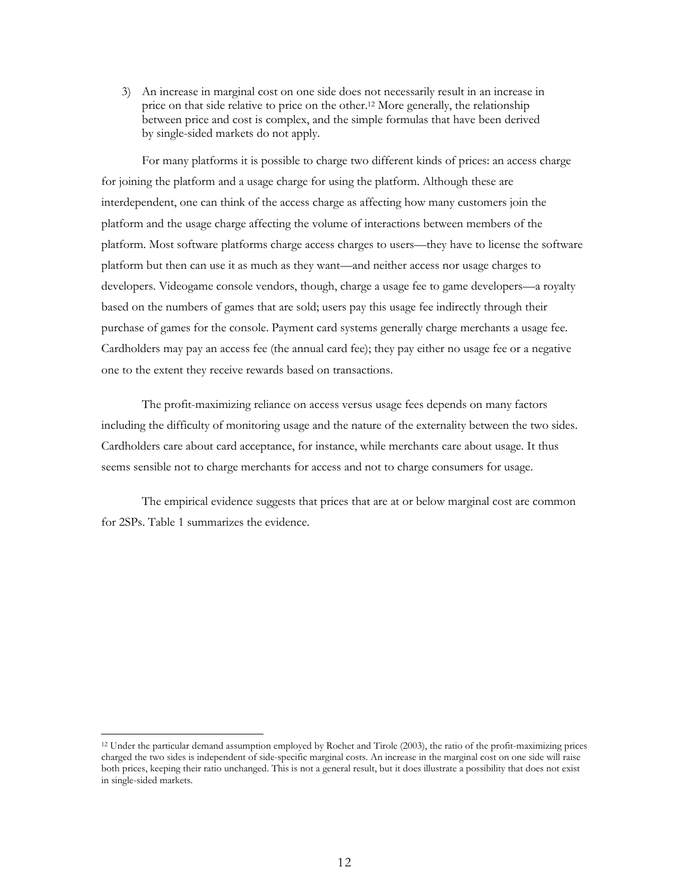3) An increase in marginal cost on one side does not necessarily result in an increase in price on that side relative to price on the other.<sup>12</sup> More generally, the relationship between price and cost is complex, and the simple formulas that have been derived by single-sided markets do not apply.

For many platforms it is possible to charge two different kinds of prices: an access charge for joining the platform and a usage charge for using the platform. Although these are interdependent, one can think of the access charge as affecting how many customers join the platform and the usage charge affecting the volume of interactions between members of the platform. Most software platforms charge access charges to users—they have to license the software platform but then can use it as much as they want-and neither access nor usage charges to developers. Videogame console vendors, though, charge a usage fee to game developers—a royalty based on the numbers of games that are sold; users pay this usage fee indirectly through their purchase of games for the console. Payment card systems generally charge merchants a usage fee. Cardholders may pay an access fee (the annual card fee); they pay either no usage fee or a negative one to the extent they receive rewards based on transactions.

The profit-maximizing reliance on access versus usage fees depends on many factors including the difficulty of monitoring usage and the nature of the externality between the two sides. Cardholders care about card acceptance, for instance, while merchants care about usage. It thus seems sensible not to charge merchants for access and not to charge consumers for usage.

The empirical evidence suggests that prices that are at or below marginal cost are common for 2SPs. Table 1 summarizes the evidence.

<sup>&</sup>lt;sup>12</sup> Under the particular demand assumption employed by Rochet and Tirole (2003), the ratio of the profit-maximizing prices charged the two sides is independent of side-specific marginal costs. An increase in the marginal cost on one side will raise both prices, keeping their ratio unchanged. This is not a general result, but it does illustrate a possibility that does not exist in single-sided markets.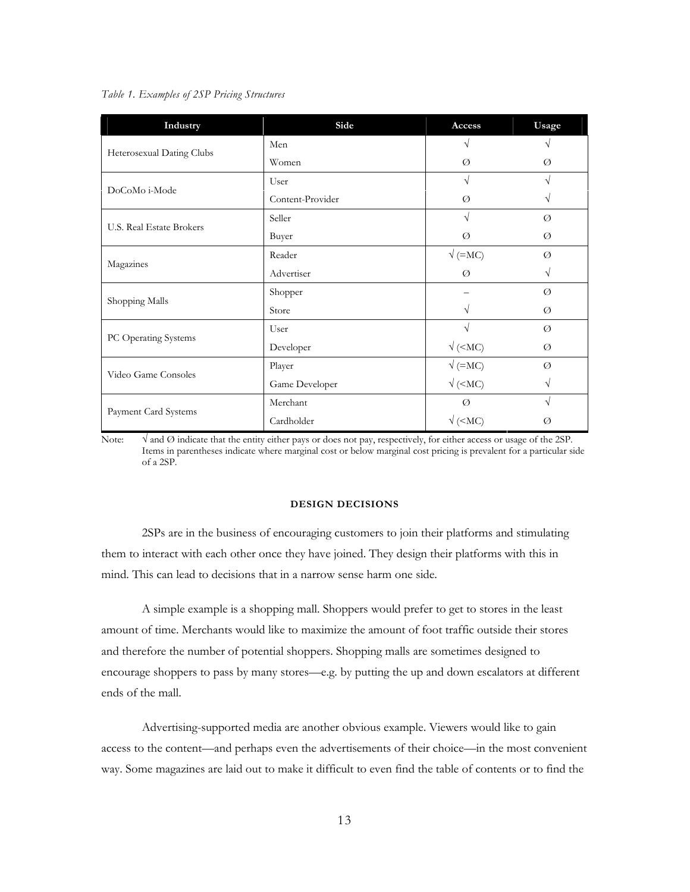Table 1. Examples of 2SP Pricing Structures

| Industry                        | Side             | Access          | Usage |
|---------------------------------|------------------|-----------------|-------|
|                                 | Men              | V               |       |
| Heterosexual Dating Clubs       | Women            | Ø               | Ø     |
| DoCoMo i-Mode                   | User             | V               |       |
|                                 | Content-Provider | Ø               | V     |
| <b>U.S. Real Estate Brokers</b> | Seller           | $\sqrt{ }$      | Ø     |
|                                 | Buyer            | Ø               | Ø     |
| Magazines                       | Reader           | $\sqrt{}$ (=MC) | Ø     |
|                                 | Advertiser       | Ø               | V     |
| Shopping Malls                  | Shopper          |                 | Ø     |
|                                 | Store            | V               | Ø     |
| PC Operating Systems            | User             | $\sqrt{}$       | Ø     |
|                                 | Developer        | $\sqrt{(M)}$    | Ø     |
| Video Game Consoles             | Player           | $\sqrt{(MC)}$   | Ø     |
|                                 | Game Developer   | $\sqrt{(M)}$    | V     |
| Payment Card Systems            | Merchant         | Ø               | V     |
|                                 | Cardholder       | $\sqrt{(M)}$    | Ø     |

 $\sqrt{ }$  and  $\varnothing$  indicate that the entity either pays or does not pay, respectively, for either access or usage of the 2SP. Note: Items in parentheses indicate where marginal cost or below marginal cost pricing is prevalent for a particular side of a 2SP.

#### **DESIGN DECISIONS**

2SPs are in the business of encouraging customers to join their platforms and stimulating them to interact with each other once they have joined. They design their platforms with this in mind. This can lead to decisions that in a narrow sense harm one side.

A simple example is a shopping mall. Shoppers would prefer to get to stores in the least amount of time. Merchants would like to maximize the amount of foot traffic outside their stores and therefore the number of potential shoppers. Shopping malls are sometimes designed to encourage shoppers to pass by many stores—e.g. by putting the up and down escalators at different ends of the mall.

Advertising-supported media are another obvious example. Viewers would like to gain access to the content—and perhaps even the advertisements of their choice—in the most convenient way. Some magazines are laid out to make it difficult to even find the table of contents or to find the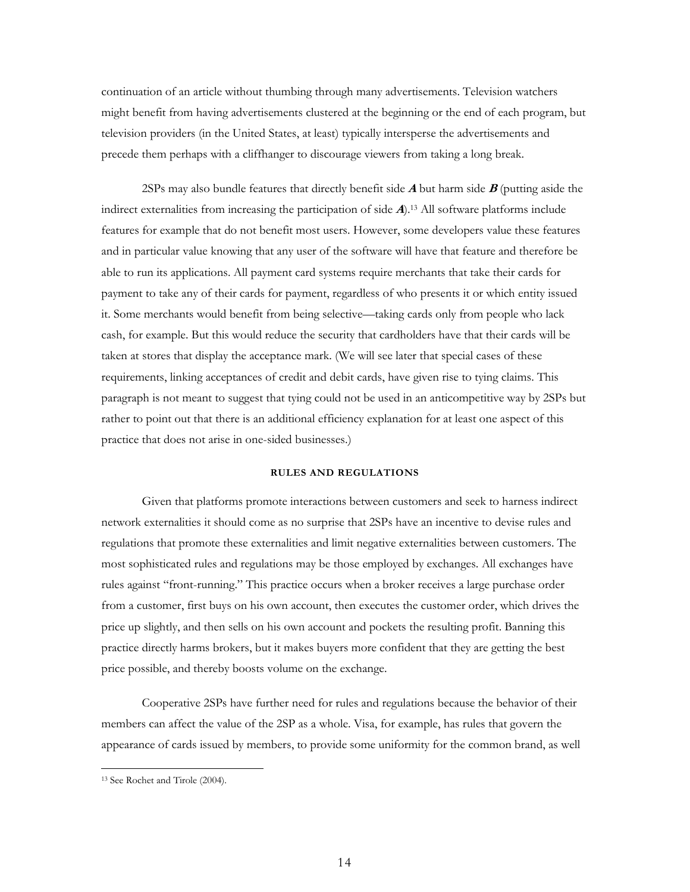continuation of an article without thumbing through many advertisements. Television watchers might benefit from having advertisements clustered at the beginning or the end of each program, but television providers (in the United States, at least) typically intersperse the advertisements and precede them perhaps with a cliffhanger to discourage viewers from taking a long break.

2SPs may also bundle features that directly benefit side  $\bm{A}$  but harm side  $\bm{B}$  (putting aside the indirect externalities from increasing the participation of side  $A$ ).<sup>13</sup> All software platforms include features for example that do not benefit most users. However, some developers value these features and in particular value knowing that any user of the software will have that feature and therefore be able to run its applications. All payment card systems require merchants that take their cards for payment to take any of their cards for payment, regardless of who presents it or which entity issued it. Some merchants would benefit from being selective—taking cards only from people who lack cash, for example. But this would reduce the security that cardholders have that their cards will be taken at stores that display the acceptance mark. (We will see later that special cases of these requirements, linking acceptances of credit and debit cards, have given rise to tying claims. This paragraph is not meant to suggest that tying could not be used in an anticompetitive way by 2SPs but rather to point out that there is an additional efficiency explanation for at least one aspect of this practice that does not arise in one-sided businesses.)

#### **RULES AND REGULATIONS**

Given that platforms promote interactions between customers and seek to harness indirect network externalities it should come as no surprise that 2SPs have an incentive to devise rules and regulations that promote these externalities and limit negative externalities between customers. The most sophisticated rules and regulations may be those employed by exchanges. All exchanges have rules against "front-running." This practice occurs when a broker receives a large purchase order from a customer, first buys on his own account, then executes the customer order, which drives the price up slightly, and then sells on his own account and pockets the resulting profit. Banning this practice directly harms brokers, but it makes buyers more confident that they are getting the best price possible, and thereby boosts volume on the exchange.

Cooperative 2SPs have further need for rules and regulations because the behavior of their members can affect the value of the 2SP as a whole. Visa, for example, has rules that govern the appearance of cards issued by members, to provide some uniformity for the common brand, as well

<sup>&</sup>lt;sup>13</sup> See Rochet and Tirole (2004).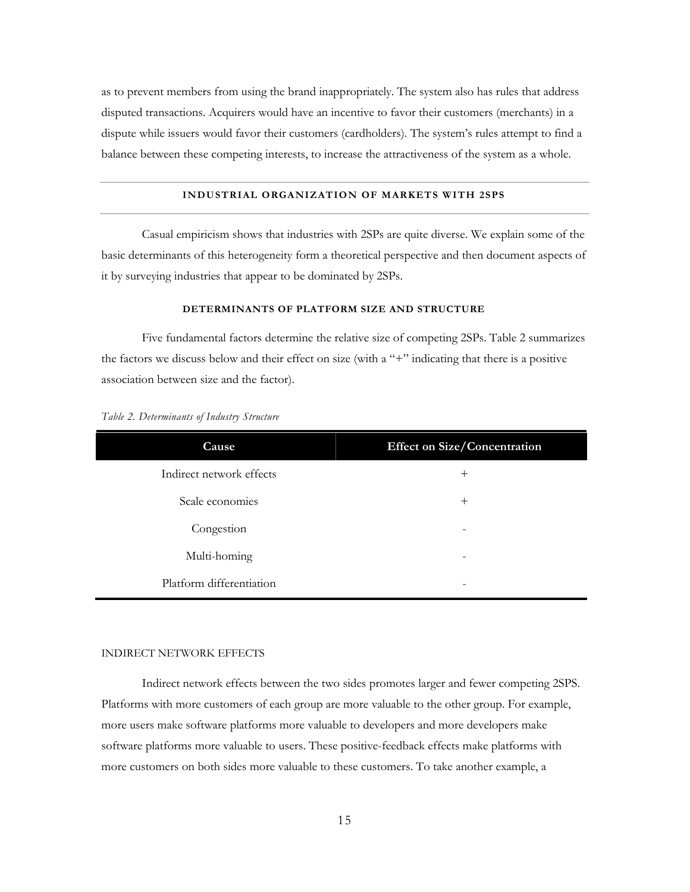as to prevent members from using the brand inappropriately. The system also has rules that address disputed transactions. Acquirers would have an incentive to favor their customers (merchants) in a dispute while issuers would favor their customers (cardholders). The system's rules attempt to find a balance between these competing interests, to increase the attractiveness of the system as a whole.

#### INDUSTRIAL ORGANIZATION OF MARKETS WITH 2SPS

Casual empiricism shows that industries with 2SPs are quite diverse. We explain some of the basic determinants of this heterogeneity form a theoretical perspective and then document aspects of it by surveying industries that appear to be dominated by 2SPs.

# DETERMINANTS OF PLATFORM SIZE AND STRUCTURE

Five fundamental factors determine the relative size of competing 2SPs. Table 2 summarizes the factors we discuss below and their effect on size (with a "+" indicating that there is a positive association between size and the factor).

| Cause                    | <b>Effect on Size/Concentration</b> |  |  |
|--------------------------|-------------------------------------|--|--|
| Indirect network effects | $^+$                                |  |  |
| Scale economies          | $^{+}$                              |  |  |
| Congestion               | -                                   |  |  |
| Multi-homing             | -                                   |  |  |
| Platform differentiation | -                                   |  |  |

Table 2. Determinants of Industry Structure

#### **INDIRECT NETWORK EFFECTS**

Indirect network effects between the two sides promotes larger and fewer competing 2SPS. Platforms with more customers of each group are more valuable to the other group. For example, more users make software platforms more valuable to developers and more developers make software platforms more valuable to users. These positive-feedback effects make platforms with more customers on both sides more valuable to these customers. To take another example, a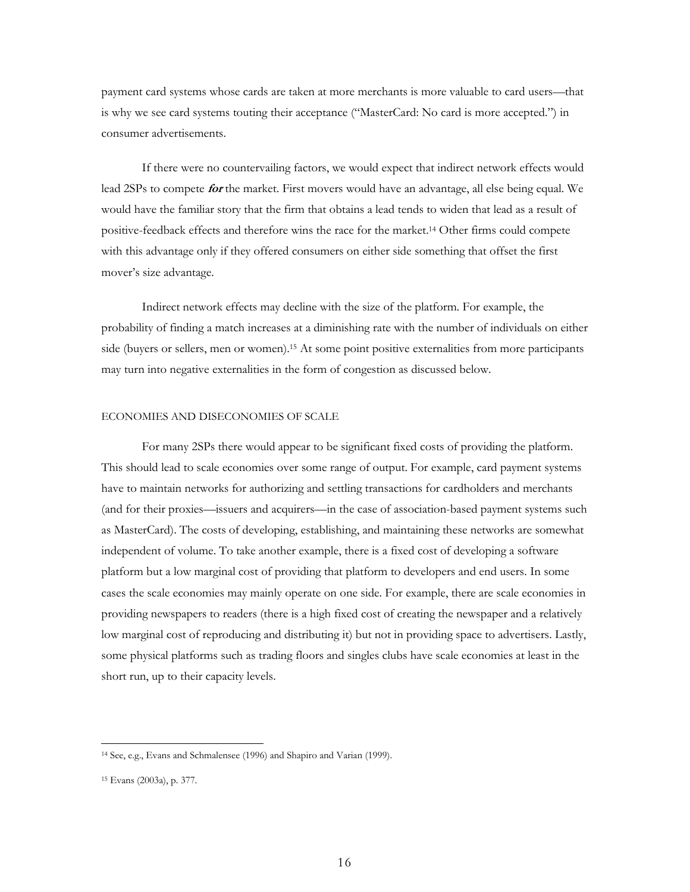payment card systems whose cards are taken at more merchants is more valuable to card users—that is why we see card systems touting their acceptance ("MasterCard: No card is more accepted.") in consumer advertisements.

If there were no countervailing factors, we would expect that indirect network effects would lead 2SPs to compete for the market. First movers would have an advantage, all else being equal. We would have the familiar story that the firm that obtains a lead tends to widen that lead as a result of positive-feedback effects and therefore wins the race for the market.<sup>14</sup> Other firms could compete with this advantage only if they offered consumers on either side something that offset the first mover's size advantage.

Indirect network effects may decline with the size of the platform. For example, the probability of finding a match increases at a diminishing rate with the number of individuals on either side (buyers or sellers, men or women).<sup>15</sup> At some point positive externalities from more participants may turn into negative externalities in the form of congestion as discussed below.

#### ECONOMIES AND DISECONOMIES OF SCALE

For many 2SPs there would appear to be significant fixed costs of providing the platform. This should lead to scale economies over some range of output. For example, card payment systems have to maintain networks for authorizing and settling transactions for cardholders and merchants (and for their proxies—issuers and acquirers—in the case of association-based payment systems such as MasterCard). The costs of developing, establishing, and maintaining these networks are somewhat independent of volume. To take another example, there is a fixed cost of developing a software platform but a low marginal cost of providing that platform to developers and end users. In some cases the scale economies may mainly operate on one side. For example, there are scale economies in providing newspapers to readers (there is a high fixed cost of creating the newspaper and a relatively low marginal cost of reproducing and distributing it) but not in providing space to advertisers. Lastly, some physical platforms such as trading floors and singles clubs have scale economies at least in the short run, up to their capacity levels.

<sup>&</sup>lt;sup>14</sup> See, e.g., Evans and Schmalensee (1996) and Shapiro and Varian (1999).

<sup>&</sup>lt;sup>15</sup> Evans (2003a), p. 377.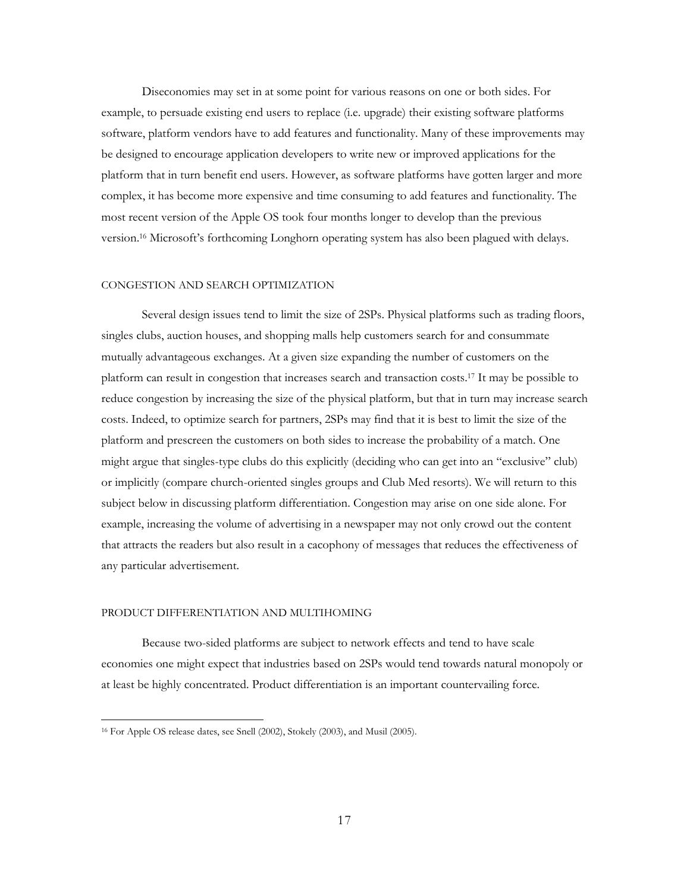Diseconomies may set in at some point for various reasons on one or both sides. For example, to persuade existing end users to replace (i.e. upgrade) their existing software platforms software, platform vendors have to add features and functionality. Many of these improvements may be designed to encourage application developers to write new or improved applications for the platform that in turn benefit end users. However, as software platforms have gotten larger and more complex, it has become more expensive and time consuming to add features and functionality. The most recent version of the Apple OS took four months longer to develop than the previous version.<sup>16</sup> Microsoft's forthcoming Longhorn operating system has also been plagued with delays.

#### CONGESTION AND SEARCH OPTIMIZATION

Several design issues tend to limit the size of 2SPs. Physical platforms such as trading floors, singles clubs, auction houses, and shopping malls help customers search for and consummate mutually advantageous exchanges. At a given size expanding the number of customers on the platform can result in congestion that increases search and transaction costs.<sup>17</sup> It may be possible to reduce congestion by increasing the size of the physical platform, but that in turn may increase search costs. Indeed, to optimize search for partners, 2SPs may find that it is best to limit the size of the platform and prescreen the customers on both sides to increase the probability of a match. One might argue that singles-type clubs do this explicitly (deciding who can get into an "exclusive" club) or implicitly (compare church-oriented singles groups and Club Med resorts). We will return to this subject below in discussing platform differentiation. Congestion may arise on one side alone. For example, increasing the volume of advertising in a newspaper may not only crowd out the content that attracts the readers but also result in a cacophony of messages that reduces the effectiveness of any particular advertisement.

# PRODUCT DIFFERENTIATION AND MULTIHOMING

Because two-sided platforms are subject to network effects and tend to have scale economies one might expect that industries based on 2SPs would tend towards natural monopoly or at least be highly concentrated. Product differentiation is an important countervailing force.

<sup>&</sup>lt;sup>16</sup> For Apple OS release dates, see Snell (2002), Stokely (2003), and Musil (2005).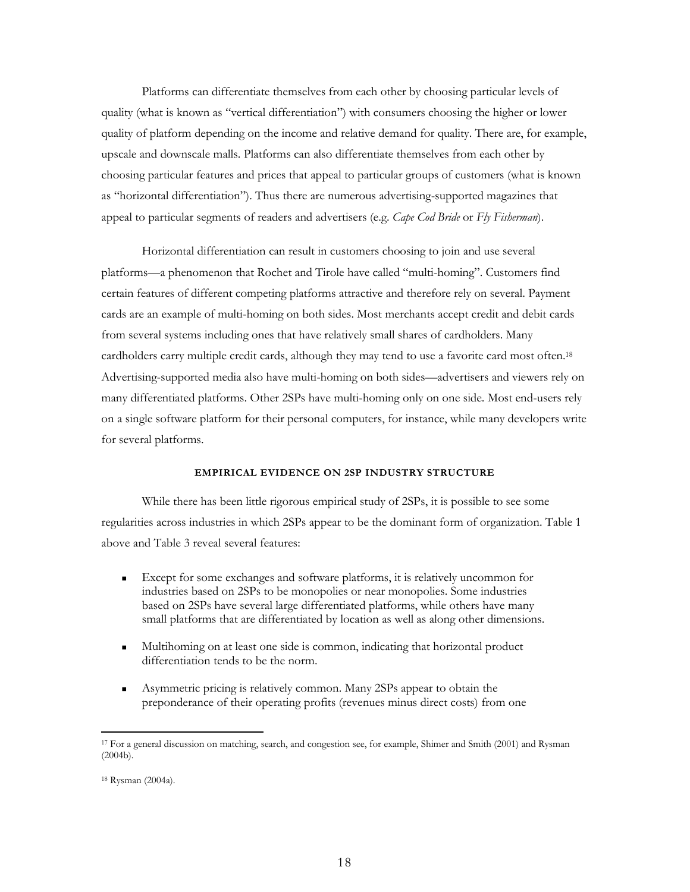Platforms can differentiate themselves from each other by choosing particular levels of quality (what is known as "vertical differentiation") with consumers choosing the higher or lower quality of platform depending on the income and relative demand for quality. There are, for example, upscale and downscale malls. Platforms can also differentiate themselves from each other by choosing particular features and prices that appeal to particular groups of customers (what is known as "horizontal differentiation"). Thus there are numerous advertising-supported magazines that appeal to particular segments of readers and advertisers (e.g. Cape Cod Bride or Fly Fisherman).

Horizontal differentiation can result in customers choosing to join and use several platforms—a phenomenon that Rochet and Tirole have called "multi-homing". Customers find certain features of different competing platforms attractive and therefore rely on several. Payment cards are an example of multi-homing on both sides. Most merchants accept credit and debit cards from several systems including ones that have relatively small shares of cardholders. Many cardholders carry multiple credit cards, although they may tend to use a favorite card most often.<sup>18</sup> Advertising-supported media also have multi-homing on both sides—advertisers and viewers rely on many differentiated platforms. Other 2SPs have multi-homing only on one side. Most end-users rely on a single software platform for their personal computers, for instance, while many developers write for several platforms.

#### EMPIRICAL EVIDENCE ON 2SP INDUSTRY STRUCTURE

While there has been little rigorous empirical study of 2SPs, it is possible to see some regularities across industries in which 2SPs appear to be the dominant form of organization. Table 1 above and Table 3 reveal several features:

- Except for some exchanges and software platforms, it is relatively uncommon for industries based on 2SPs to be monopolies or near monopolies. Some industries based on 2SPs have several large differentiated platforms, while others have many small platforms that are differentiated by location as well as along other dimensions.
- Multihoming on at least one side is common, indicating that horizontal product differentiation tends to be the norm.
- Asymmetric pricing is relatively common. Many 2SPs appear to obtain the  $\blacksquare$ preponderance of their operating profits (revenues minus direct costs) from one

<sup>&</sup>lt;sup>17</sup> For a general discussion on matching, search, and congestion see, for example, Shimer and Smith (2001) and Rysman  $(2004b).$ 

<sup>&</sup>lt;sup>18</sup> Rysman (2004a).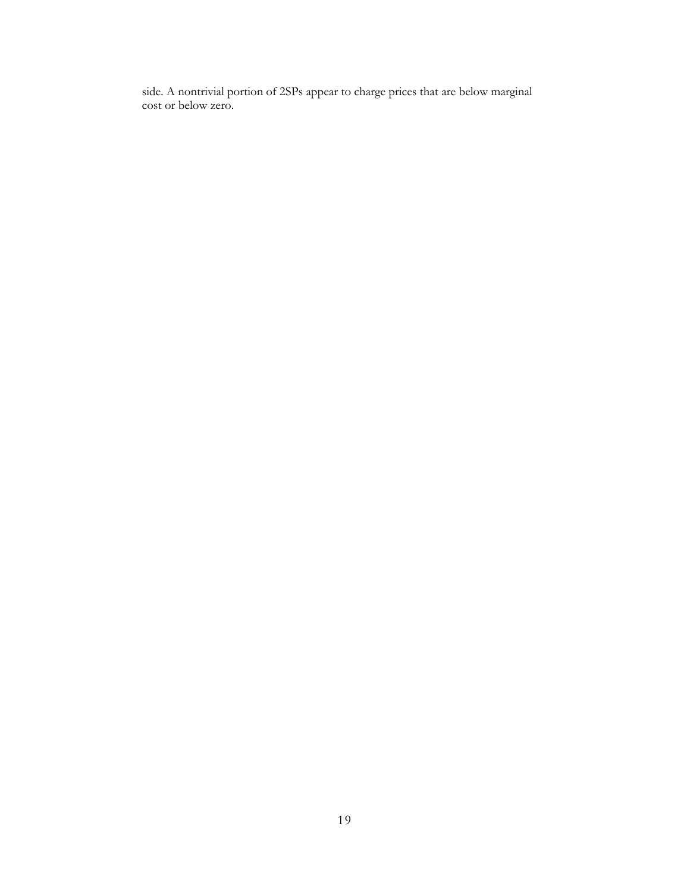side. A nontrivial portion of 2SPs appear to charge prices that are below marginal cost or below zero.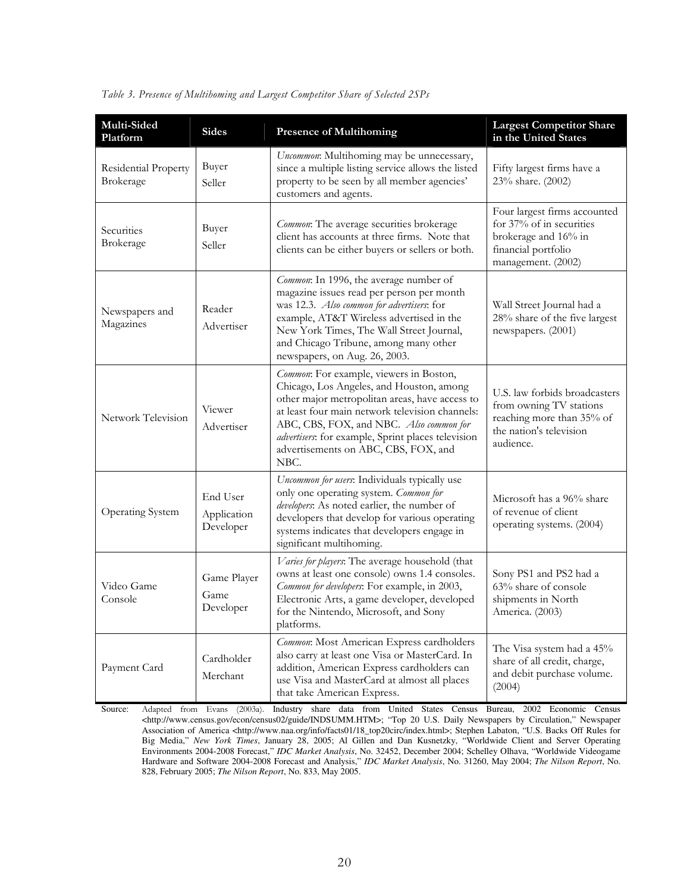| Multi-Sided<br>Platform           | <b>Sides</b>                         | <b>Presence of Multihoming</b>                                                                                                                                                                                                                                                                                                            | <b>Largest Competitor Share</b><br>in the United States                                                                       |  |
|-----------------------------------|--------------------------------------|-------------------------------------------------------------------------------------------------------------------------------------------------------------------------------------------------------------------------------------------------------------------------------------------------------------------------------------------|-------------------------------------------------------------------------------------------------------------------------------|--|
| Residential Property<br>Brokerage | Buyer<br>Seller                      | Uncommon: Multihoming may be unnecessary,<br>since a multiple listing service allows the listed<br>property to be seen by all member agencies'<br>customers and agents.                                                                                                                                                                   | Fifty largest firms have a<br>23% share. (2002)                                                                               |  |
| Securities<br><b>Brokerage</b>    | Buyer<br>Seller                      | Common: The average securities brokerage<br>client has accounts at three firms. Note that<br>clients can be either buyers or sellers or both.                                                                                                                                                                                             | Four largest firms accounted<br>for 37% of in securities<br>brokerage and 16% in<br>financial portfolio<br>management. (2002) |  |
| Newspapers and<br>Magazines       | Reader<br>Advertiser                 | Common: In 1996, the average number of<br>magazine issues read per person per month<br>was 12.3. Also common for advertisers: for<br>example, AT&T Wireless advertised in the<br>New York Times, The Wall Street Journal,<br>and Chicago Tribune, among many other<br>newspapers, on Aug. 26, 2003.                                       | Wall Street Journal had a<br>28% share of the five largest<br>newspapers. (2001)                                              |  |
| Network Television                | Viewer<br>Advertiser                 | Common: For example, viewers in Boston,<br>Chicago, Los Angeles, and Houston, among<br>other major metropolitan areas, have access to<br>at least four main network television channels:<br>ABC, CBS, FOX, and NBC. Also common for<br>advertisers: for example, Sprint places television<br>advertisements on ABC, CBS, FOX, and<br>NBC. | U.S. law forbids broadcasters<br>from owning TV stations<br>reaching more than 35% of<br>the nation's television<br>audience. |  |
| <b>Operating System</b>           | End User<br>Application<br>Developer | Uncommon for users: Individuals typically use<br>only one operating system. Common for<br>developers: As noted earlier, the number of<br>developers that develop for various operating<br>systems indicates that developers engage in<br>significant multihoming.                                                                         | Microsoft has a 96% share<br>of revenue of client<br>operating systems. (2004)                                                |  |
| Video Game<br>Console             | Game Player<br>Game<br>Developer     | Varies for players: The average household (that<br>owns at least one console) owns 1.4 consoles.<br>Common for developers: For example, in 2003,<br>Electronic Arts, a game developer, developed<br>for the Nintendo, Microsoft, and Sony<br>platforms.                                                                                   | Sony PS1 and PS2 had a<br>63% share of console<br>shipments in North<br>America. (2003)                                       |  |
| Payment Card                      | Cardholder<br>Merchant               | Common: Most American Express cardholders<br>also carry at least one Visa or MasterCard. In<br>addition, American Express cardholders can<br>use Visa and MasterCard at almost all places<br>that take American Express.                                                                                                                  | The Visa system had a 45%<br>share of all credit, charge,<br>and debit purchase volume.<br>(2004)                             |  |

Table 3. Presence of Multihoming and Largest Competitor Share of Selected 2SPs

Source: Adapted from Evans (2003a). Industry share data from United States Census Bureau, 2002 Economic Census <http://www.census.gov/econ/census02/guide/INDSUMM.HTM>; "Top 20 U.S. Daily Newspapers by Circulation," Newspaper<br>Association of America <http://www.naa.org/info/facts01/18\_top20circ/index.html>; Stephen Labaton, "U.S. Bac Big Media," New York Times, January 28, 2005; Al Gillen and Dan Kusnetzky, "Worldwide Client and Server Operating Environments 2004-2008 Forecast," IDC Market Analysis, No. 32452, December 2004; Schelley Olhava, "Worldwide Videogame Hardware and Software 2004-2008 Forecast and Analysis," IDC Market Analysis, No. 31260, May 2004; The N 828, February 2005; The Nilson Report, No. 833, May 2005.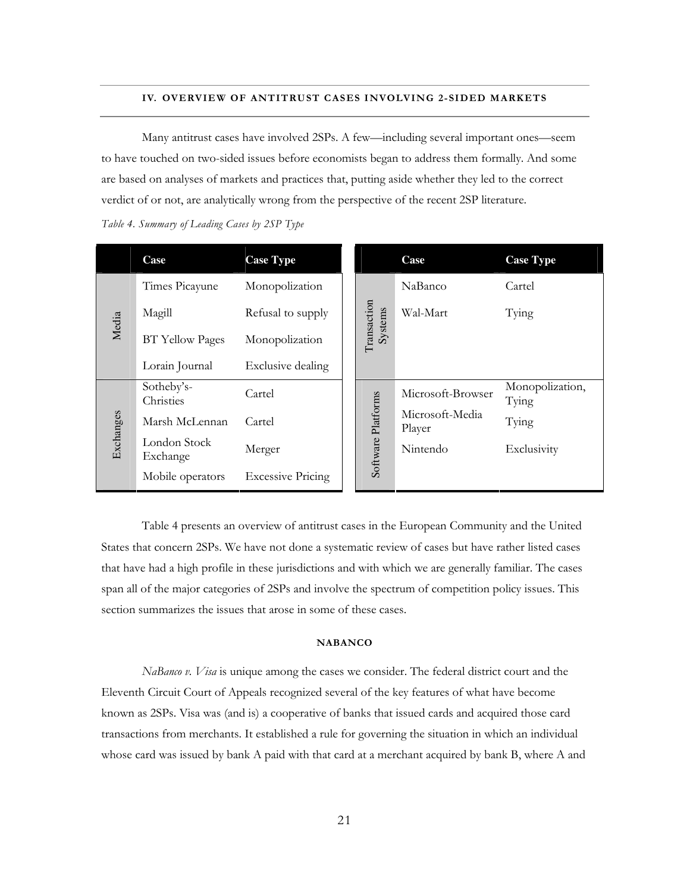#### IV. OVERVIEW OF ANTITRUST CASES INVOLVING 2-SIDED MARKETS

Many antitrust cases have involved 2SPs. A few—including several important ones—seem to have touched on two-sided issues before economists began to address them formally. And some are based on analyses of markets and practices that, putting aside whether they led to the correct verdict of or not, are analytically wrong from the perspective of the recent 2SP literature.

Table 4. Summary of Leading Cases by 2SP Type

|           | Case                     | <b>Case Type</b>         |                        | Case                      | <b>Case Type</b>         |
|-----------|--------------------------|--------------------------|------------------------|---------------------------|--------------------------|
| Media     | Times Picayune           | Monopolization           |                        | NaBanco                   | Cartel                   |
|           | Magill                   | Refusal to supply        | Transaction<br>Systems | Wal-Mart                  | Tying                    |
|           | <b>BT</b> Yellow Pages   | Monopolization           |                        |                           |                          |
|           | Lorain Journal           | Exclusive dealing        |                        |                           |                          |
| Exchanges | Sotheby's-<br>Christies  | Cartel                   |                        | Microsoft-Browser         | Monopolization,<br>Tying |
|           | Marsh McLennan           | Cartel                   | Platforms              | Microsoft-Media<br>Player | Tying                    |
|           | London Stock<br>Exchange | Merger                   | Software               | Nintendo                  | Exclusivity              |
|           | Mobile operators         | <b>Excessive Pricing</b> |                        |                           |                          |

Table 4 presents an overview of antitrust cases in the European Community and the United States that concern 2SPs. We have not done a systematic review of cases but have rather listed cases that have had a high profile in these jurisdictions and with which we are generally familiar. The cases span all of the major categories of 2SPs and involve the spectrum of competition policy issues. This section summarizes the issues that arose in some of these cases.

#### **NABANCO**

NaBanco v. Visa is unique among the cases we consider. The federal district court and the Eleventh Circuit Court of Appeals recognized several of the key features of what have become known as 2SPs. Visa was (and is) a cooperative of banks that issued cards and acquired those card transactions from merchants. It established a rule for governing the situation in which an individual whose card was issued by bank A paid with that card at a merchant acquired by bank B, where A and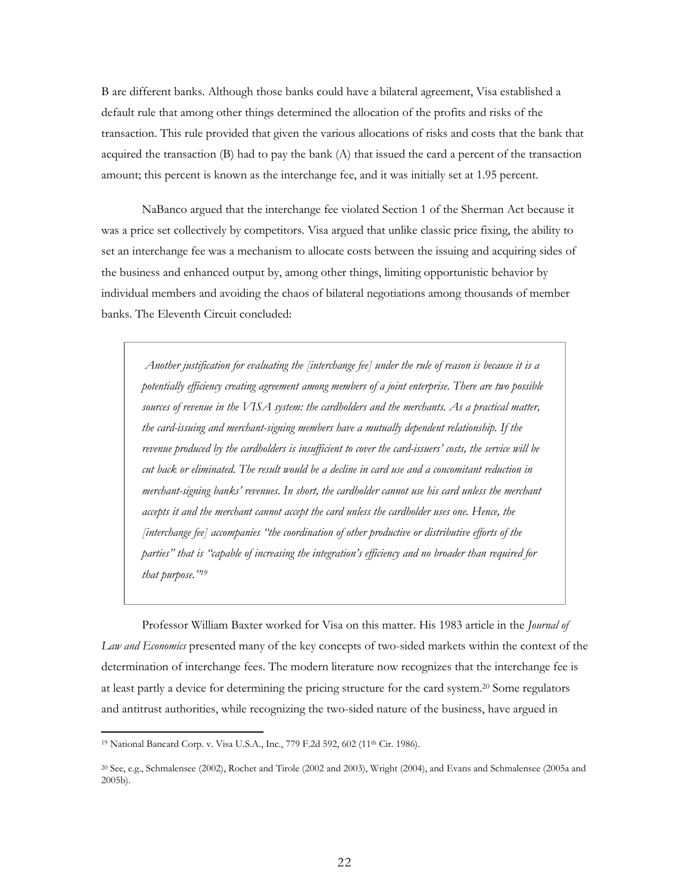B are different banks. Although those banks could have a bilateral agreement, Visa established a default rule that among other things determined the allocation of the profits and risks of the transaction. This rule provided that given the various allocations of risks and costs that the bank that acquired the transaction  $(B)$  had to pay the bank  $(A)$  that issued the card a percent of the transaction amount; this percent is known as the interchange fee, and it was initially set at 1.95 percent.

NaBanco argued that the interchange fee violated Section 1 of the Sherman Act because it was a price set collectively by competitors. Visa argued that unlike classic price fixing, the ability to set an interchange fee was a mechanism to allocate costs between the issuing and acquiring sides of the business and enhanced output by, among other things, limiting opportunistic behavior by individual members and avoiding the chaos of bilateral negotiations among thousands of member banks. The Eleventh Circuit concluded:

Another justification for evaluating the [interchange fee] under the rule of reason is because it is a potentially efficiency creating agreement among members of a joint enterprise. There are two possible sources of revenue in the VISA system: the cardholders and the merchants. As a practical matter, the card-issuing and merchant-signing members have a mutually dependent relationship. If the revenue produced by the cardholders is insufficient to cover the card-issuers' costs, the service will be cut back or eliminated. The result would be a decline in card use and a concomitant reduction in merchant-signing banks' revenues. In short, the cardholder cannot use his card unless the merchant accepts it and the merchant cannot accept the card unless the cardholder uses one. Hence, the [interchange fee] accompanies "the coordination of other productive or distributive efforts of the parties" that is "capable of increasing the integration's efficiency and no broader than required for that purpose."19

Professor William Baxter worked for Visa on this matter. His 1983 article in the Journal of Law and Economics presented many of the key concepts of two-sided markets within the context of the determination of interchange fees. The modern literature now recognizes that the interchange fee is at least partly a device for determining the pricing structure for the card system.<sup>20</sup> Some regulators and antitrust authorities, while recognizing the two-sided nature of the business, have argued in

<sup>&</sup>lt;sup>19</sup> National Bancard Corp. v. Visa U.S.A., Inc., 779 F.2d 592, 602 (11<sup>th</sup> Cir. 1986).

<sup>&</sup>lt;sup>20</sup> See, e.g., Schmalensee (2002), Rochet and Tirole (2002 and 2003), Wright (2004), and Evans and Schmalensee (2005a and  $2005<sub>b</sub>$ ).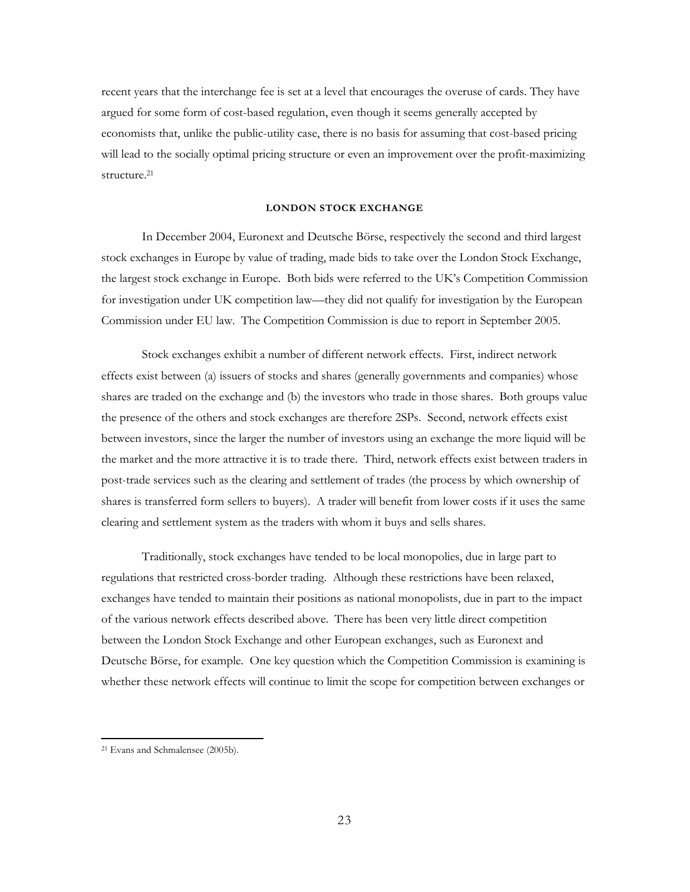recent years that the interchange fee is set at a level that encourages the overuse of cards. They have argued for some form of cost-based regulation, even though it seems generally accepted by economists that, unlike the public-utility case, there is no basis for assuming that cost-based pricing will lead to the socially optimal pricing structure or even an improvement over the profit-maximizing structure.<sup>21</sup>

#### **LONDON STOCK EXCHANGE**

In December 2004, Euronext and Deutsche Börse, respectively the second and third largest stock exchanges in Europe by value of trading, made bids to take over the London Stock Exchange, the largest stock exchange in Europe. Both bids were referred to the UK's Competition Commission for investigation under UK competition law—they did not qualify for investigation by the European Commission under EU law. The Competition Commission is due to report in September 2005.

Stock exchanges exhibit a number of different network effects. First, indirect network effects exist between (a) issuers of stocks and shares (generally governments and companies) whose shares are traded on the exchange and (b) the investors who trade in those shares. Both groups value the presence of the others and stock exchanges are therefore 2SPs. Second, network effects exist between investors, since the larger the number of investors using an exchange the more liquid will be the market and the more attractive it is to trade there. Third, network effects exist between traders in post-trade services such as the clearing and settlement of trades (the process by which ownership of shares is transferred form sellers to buyers). A trader will benefit from lower costs if it uses the same clearing and settlement system as the traders with whom it buys and sells shares.

Traditionally, stock exchanges have tended to be local monopolies, due in large part to regulations that restricted cross-border trading. Although these restrictions have been relaxed, exchanges have tended to maintain their positions as national monopolists, due in part to the impact of the various network effects described above. There has been very little direct competition between the London Stock Exchange and other European exchanges, such as Euronext and Deutsche Börse, for example. One key question which the Competition Commission is examining is whether these network effects will continue to limit the scope for competition between exchanges or

<sup>&</sup>lt;sup>21</sup> Evans and Schmalensee (2005b).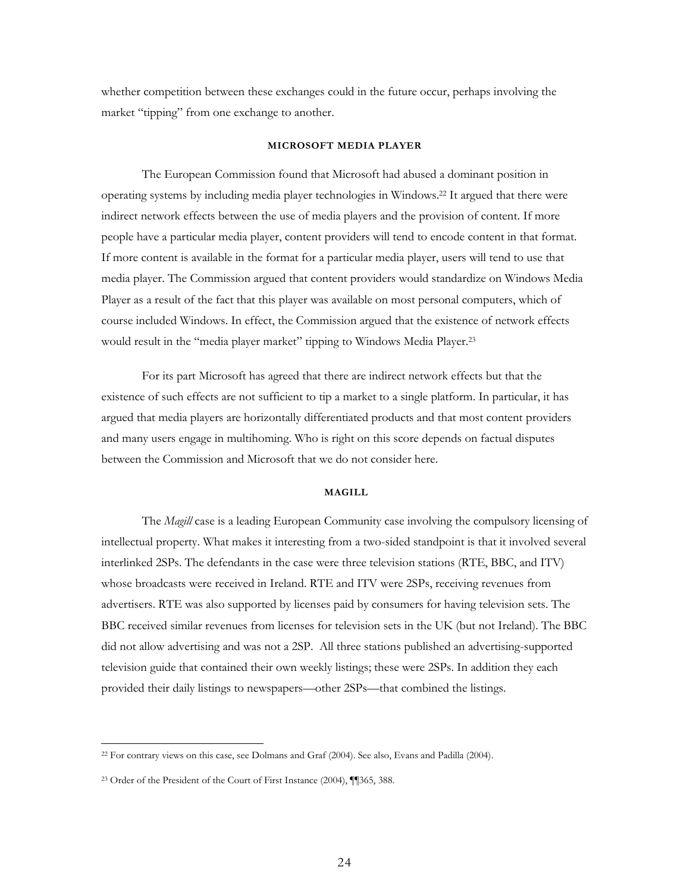whether competition between these exchanges could in the future occur, perhaps involving the market "tipping" from one exchange to another.

#### MICROSOFT MEDIA PLAYER

The European Commission found that Microsoft had abused a dominant position in operating systems by including media player technologies in Windows.<sup>22</sup> It argued that there were indirect network effects between the use of media players and the provision of content. If more people have a particular media player, content providers will tend to encode content in that format. If more content is available in the format for a particular media player, users will tend to use that media player. The Commission argued that content providers would standardize on Windows Media Player as a result of the fact that this player was available on most personal computers, which of course included Windows. In effect, the Commission argued that the existence of network effects would result in the "media player market" tipping to Windows Media Player.<sup>23</sup>

For its part Microsoft has agreed that there are indirect network effects but that the existence of such effects are not sufficient to tip a market to a single platform. In particular, it has argued that media players are horizontally differentiated products and that most content providers and many users engage in multihoming. Who is right on this score depends on factual disputes between the Commission and Microsoft that we do not consider here.

#### **MAGILL**

The *Magill* case is a leading European Community case involving the compulsory licensing of intellectual property. What makes it interesting from a two-sided standpoint is that it involved several interlinked 2SPs. The defendants in the case were three television stations (RTE, BBC, and ITV) whose broadcasts were received in Ireland. RTE and ITV were 2SPs, receiving revenues from advertisers. RTE was also supported by licenses paid by consumers for having television sets. The BBC received similar revenues from licenses for television sets in the UK (but not Ireland). The BBC did not allow advertising and was not a 2SP. All three stations published an advertising-supported television guide that contained their own weekly listings; these were 2SPs. In addition they each provided their daily listings to newspapers—other 2SPs—that combined the listings.

<sup>&</sup>lt;sup>22</sup> For contrary views on this case, see Dolmans and Graf (2004). See also, Evans and Padilla (2004).

<sup>&</sup>lt;sup>23</sup> Order of the President of the Court of First Instance (2004), [[365, 388.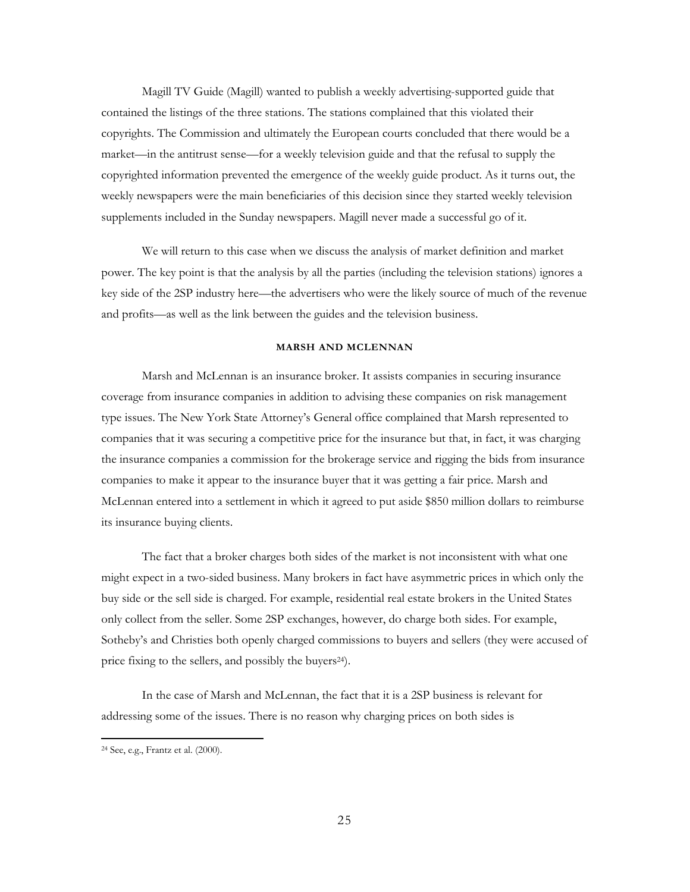Magill TV Guide (Magill) wanted to publish a weekly advertising-supported guide that contained the listings of the three stations. The stations complained that this violated their copyrights. The Commission and ultimately the European courts concluded that there would be a market—in the antitrust sense—for a weekly television guide and that the refusal to supply the copyrighted information prevented the emergence of the weekly guide product. As it turns out, the weekly newspapers were the main beneficiaries of this decision since they started weekly television supplements included in the Sunday newspapers. Magill never made a successful go of it.

We will return to this case when we discuss the analysis of market definition and market power. The key point is that the analysis by all the parties (including the television stations) ignores a key side of the 2SP industry here—the advertisers who were the likely source of much of the revenue and profits—as well as the link between the guides and the television business.

# **MARSH AND MCLENNAN**

Marsh and McLennan is an insurance broker. It assists companies in securing insurance coverage from insurance companies in addition to advising these companies on risk management type issues. The New York State Attorney's General office complained that Marsh represented to companies that it was securing a competitive price for the insurance but that, in fact, it was charging the insurance companies a commission for the brokerage service and rigging the bids from insurance companies to make it appear to the insurance buyer that it was getting a fair price. Marsh and McLennan entered into a settlement in which it agreed to put aside \$850 million dollars to reimburse its insurance buying clients.

The fact that a broker charges both sides of the market is not inconsistent with what one might expect in a two-sided business. Many brokers in fact have asymmetric prices in which only the buy side or the sell side is charged. For example, residential real estate brokers in the United States only collect from the seller. Some 2SP exchanges, however, do charge both sides. For example, Sotheby's and Christies both openly charged commissions to buyers and sellers (they were accused of price fixing to the sellers, and possibly the buyers<sup>24</sup>).

In the case of Marsh and McLennan, the fact that it is a 2SP business is relevant for addressing some of the issues. There is no reason why charging prices on both sides is

<sup>&</sup>lt;sup>24</sup> See, e.g., Frantz et al. (2000).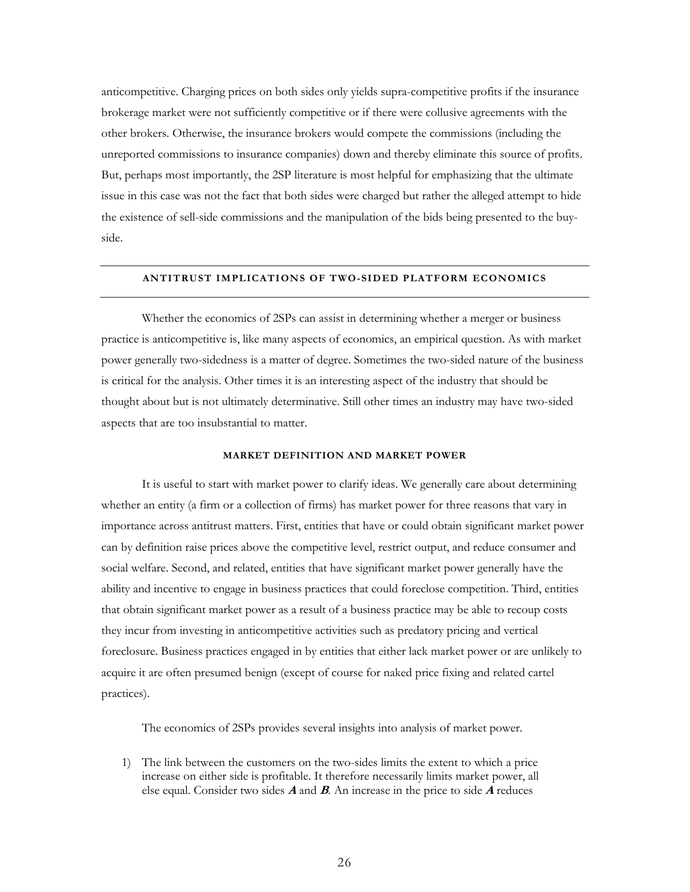anticompetitive. Charging prices on both sides only yields supra-competitive profits if the insurance brokerage market were not sufficiently competitive or if there were collusive agreements with the other brokers. Otherwise, the insurance brokers would compete the commissions (including the unreported commissions to insurance companies) down and thereby eliminate this source of profits. But, perhaps most importantly, the 2SP literature is most helpful for emphasizing that the ultimate issue in this case was not the fact that both sides were charged but rather the alleged attempt to hide the existence of sell-side commissions and the manipulation of the bids being presented to the buyside.

### ANTITRUST IMPLICATIONS OF TWO-SIDED PLATFORM ECONOMICS

Whether the economics of 2SPs can assist in determining whether a merger or business practice is anticompetitive is, like many aspects of economics, an empirical question. As with market power generally two-sidedness is a matter of degree. Sometimes the two-sided nature of the business is critical for the analysis. Other times it is an interesting aspect of the industry that should be thought about but is not ultimately determinative. Still other times an industry may have two-sided aspects that are too insubstantial to matter.

#### MARKET DEFINITION AND MARKET POWER

It is useful to start with market power to clarify ideas. We generally care about determining whether an entity (a firm or a collection of firms) has market power for three reasons that vary in importance across antitrust matters. First, entities that have or could obtain significant market power can by definition raise prices above the competitive level, restrict output, and reduce consumer and social welfare. Second, and related, entities that have significant market power generally have the ability and incentive to engage in business practices that could foreclose competition. Third, entities that obtain significant market power as a result of a business practice may be able to recoup costs they incur from investing in anticompetitive activities such as predatory pricing and vertical foreclosure. Business practices engaged in by entities that either lack market power or are unlikely to acquire it are often presumed benign (except of course for naked price fixing and related cartel practices).

The economics of 2SPs provides several insights into analysis of market power.

1) The link between the customers on the two-sides limits the extent to which a price increase on either side is profitable. It therefore necessarily limits market power, all else equal. Consider two sides  $A$  and  $B$ . An increase in the price to side  $A$  reduces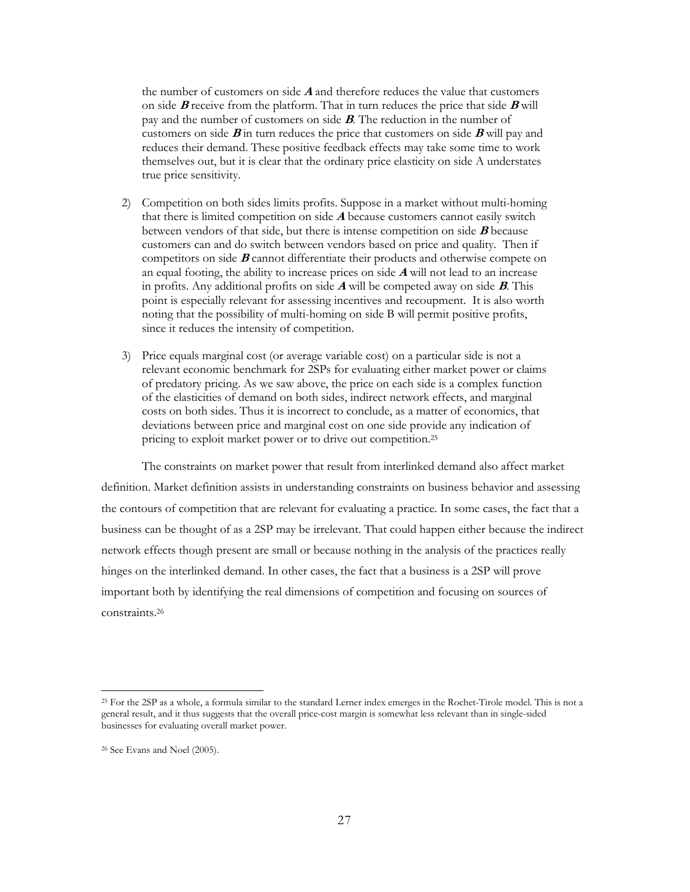the number of customers on side  $\boldsymbol{A}$  and therefore reduces the value that customers on side  $\bm{B}$  receive from the platform. That in turn reduces the price that side  $\bm{B}$  will pay and the number of customers on side  $B$ . The reduction in the number of customers on side  $\vec{B}$  in turn reduces the price that customers on side  $\vec{B}$  will pay and reduces their demand. These positive feedback effects may take some time to work themselves out, but it is clear that the ordinary price elasticity on side A understates true price sensitivity.

- 2) Competition on both sides limits profits. Suppose in a market without multi-homing that there is limited competition on side  $A$  because customers cannot easily switch between vendors of that side, but there is intense competition on side  $\bm{B}$  because customers can and do switch between vendors based on price and quality. Then if competitors on side  $B$  cannot differentiate their products and otherwise compete on an equal footing, the ability to increase prices on side  $A$  will not lead to an increase in profits. Any additional profits on side  $\vec{A}$  will be competed away on side  $\vec{B}$ . This point is especially relevant for assessing incentives and recoupment. It is also worth noting that the possibility of multi-homing on side B will permit positive profits, since it reduces the intensity of competition.
- 3) Price equals marginal cost (or average variable cost) on a particular side is not a relevant economic benchmark for 2SPs for evaluating either market power or claims of predatory pricing. As we saw above, the price on each side is a complex function of the elasticities of demand on both sides, indirect network effects, and marginal costs on both sides. Thus it is incorrect to conclude, as a matter of economics, that deviations between price and marginal cost on one side provide any indication of pricing to exploit market power or to drive out competition.<sup>25</sup>

The constraints on market power that result from interlinked demand also affect market definition. Market definition assists in understanding constraints on business behavior and assessing the contours of competition that are relevant for evaluating a practice. In some cases, the fact that a business can be thought of as a 2SP may be irrelevant. That could happen either because the indirect network effects though present are small or because nothing in the analysis of the practices really hinges on the interlinked demand. In other cases, the fact that a business is a 2SP will prove important both by identifying the real dimensions of competition and focusing on sources of constraints.<sup>26</sup>

<sup>&</sup>lt;sup>25</sup> For the 2SP as a whole, a formula similar to the standard Lerner index emerges in the Rochet-Tirole model. This is not a general result, and it thus suggests that the overall price-cost margin is somewhat less relevant than in single-sided businesses for evaluating overall market power.

<sup>&</sup>lt;sup>26</sup> See Evans and Noel (2005).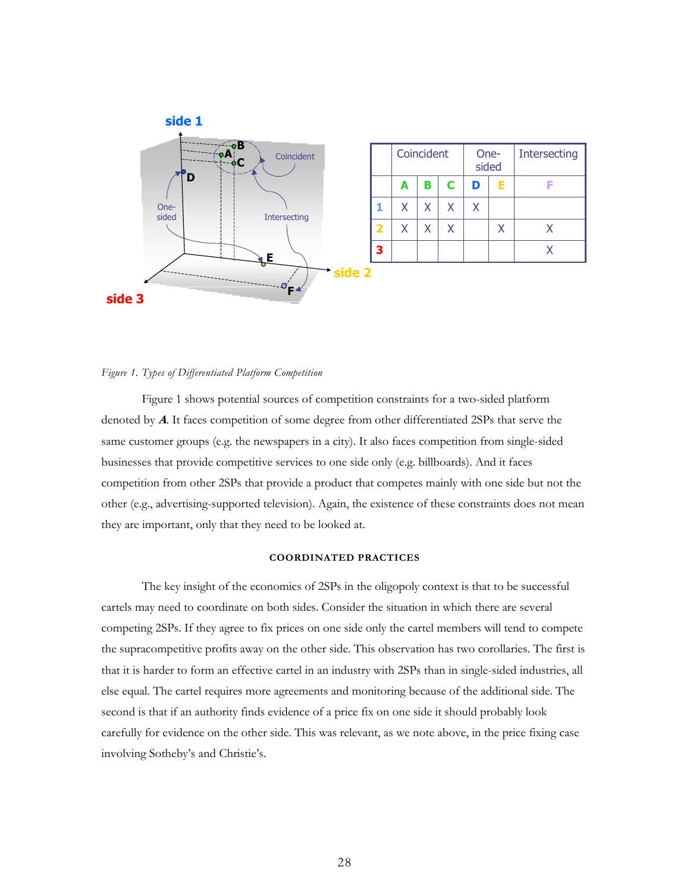

## Figure 1. Types of Differentiated Platform Competition

Figure 1 shows potential sources of competition constraints for a two-sided platform denoted by A. It faces competition of some degree from other differentiated 2SPs that serve the same customer groups (e.g. the newspapers in a city). It also faces competition from single-sided businesses that provide competitive services to one side only (e.g. billboards). And it faces competition from other 2SPs that provide a product that competes mainly with one side but not the other (e.g., advertising-supported television). Again, the existence of these constraints does not mean they are important, only that they need to be looked at.

# **COORDINATED PRACTICES**

The key insight of the economics of 2SPs in the oligopoly context is that to be successful cartels may need to coordinate on both sides. Consider the situation in which there are several competing 2SPs. If they agree to fix prices on one side only the cartel members will tend to compete the supracompetitive profits away on the other side. This observation has two corollaries. The first is that it is harder to form an effective cartel in an industry with 2SPs than in single-sided industries, all else equal. The cartel requires more agreements and monitoring because of the additional side. The second is that if an authority finds evidence of a price fix on one side it should probably look carefully for evidence on the other side. This was relevant, as we note above, in the price fixing case involving Sotheby's and Christie's.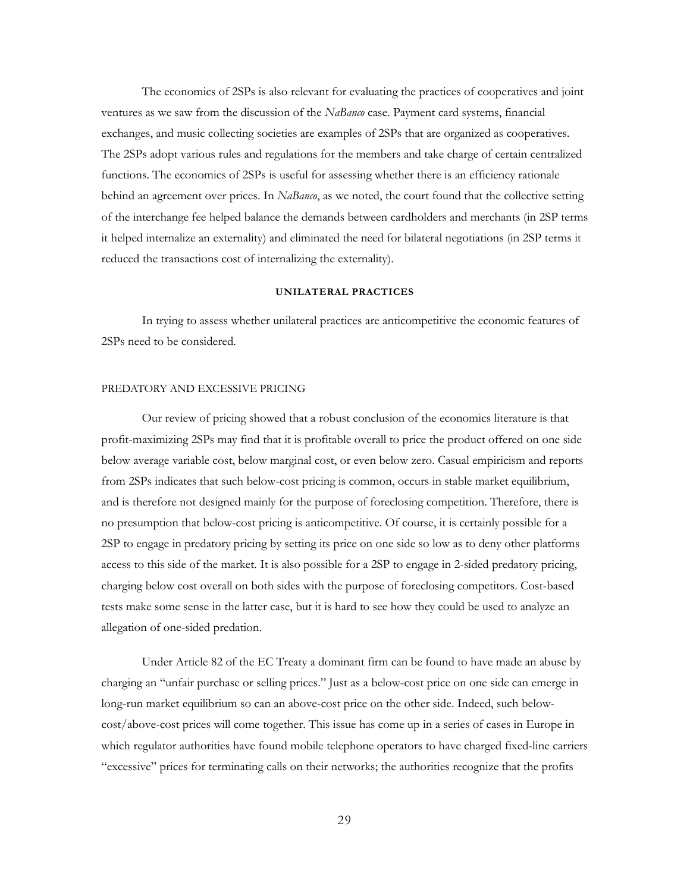The economics of 2SPs is also relevant for evaluating the practices of cooperatives and joint ventures as we saw from the discussion of the NaBanco case. Payment card systems, financial exchanges, and music collecting societies are examples of 2SPs that are organized as cooperatives. The 2SPs adopt various rules and regulations for the members and take charge of certain centralized functions. The economics of 2SPs is useful for assessing whether there is an efficiency rationale behind an agreement over prices. In NaBanco, as we noted, the court found that the collective setting of the interchange fee helped balance the demands between cardholders and merchants (in 2SP terms it helped internalize an externality) and eliminated the need for bilateral negotiations (in 2SP terms it reduced the transactions cost of internalizing the externality).

#### **UNILATERAL PRACTICES**

In trying to assess whether unilateral practices are anticompetitive the economic features of 2SPs need to be considered.

#### PREDATORY AND EXCESSIVE PRICING

Our review of pricing showed that a robust conclusion of the economics literature is that profit-maximizing 2SPs may find that it is profitable overall to price the product offered on one side below average variable cost, below marginal cost, or even below zero. Casual empiricism and reports from 2SPs indicates that such below-cost pricing is common, occurs in stable market equilibrium, and is therefore not designed mainly for the purpose of foreclosing competition. Therefore, there is no presumption that below-cost pricing is anticompetitive. Of course, it is certainly possible for a 2SP to engage in predatory pricing by setting its price on one side so low as to deny other platforms access to this side of the market. It is also possible for a 2SP to engage in 2-sided predatory pricing, charging below cost overall on both sides with the purpose of foreclosing competitors. Cost-based tests make some sense in the latter case, but it is hard to see how they could be used to analyze an allegation of one-sided predation.

Under Article 82 of the EC Treaty a dominant firm can be found to have made an abuse by charging an "unfair purchase or selling prices." Just as a below-cost price on one side can emerge in long-run market equilibrium so can an above-cost price on the other side. Indeed, such belowcost/above-cost prices will come together. This issue has come up in a series of cases in Europe in which regulator authorities have found mobile telephone operators to have charged fixed-line carriers "excessive" prices for terminating calls on their networks; the authorities recognize that the profits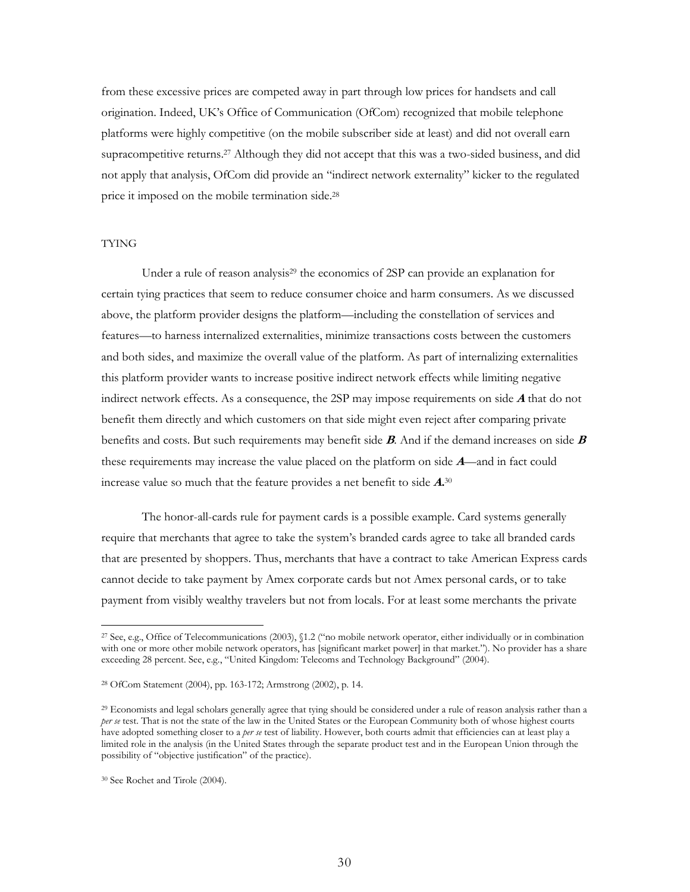from these excessive prices are competed away in part through low prices for handsets and call origination. Indeed, UK's Office of Communication (OfCom) recognized that mobile telephone platforms were highly competitive (on the mobile subscriber side at least) and did not overall earn supracompetitive returns.<sup>27</sup> Although they did not accept that this was a two-sided business, and did not apply that analysis, OfCom did provide an "indirect network externality" kicker to the regulated price it imposed on the mobile termination side.<sup>28</sup>

# **TYING**

Under a rule of reason analysis<sup>29</sup> the economics of 2SP can provide an explanation for certain tying practices that seem to reduce consumer choice and harm consumers. As we discussed above, the platform provider designs the platform—including the constellation of services and features—to harness internalized externalities, minimize transactions costs between the customers and both sides, and maximize the overall value of the platform. As part of internalizing externalities this platform provider wants to increase positive indirect network effects while limiting negative indirect network effects. As a consequence, the 2SP may impose requirements on side  $A$  that do not benefit them directly and which customers on that side might even reject after comparing private benefits and costs. But such requirements may benefit side  $\bm{B}$ . And if the demand increases on side  $\bm{B}$ these requirements may increase the value placed on the platform on side **A**—and in fact could increase value so much that the feature provides a net benefit to side  $A^{30}$ 

The honor-all-cards rule for payment cards is a possible example. Card systems generally require that merchants that agree to take the system's branded cards agree to take all branded cards that are presented by shoppers. Thus, merchants that have a contract to take American Express cards cannot decide to take payment by Amex corporate cards but not Amex personal cards, or to take payment from visibly wealthy travelers but not from locals. For at least some merchants the private

<sup>&</sup>lt;sup>27</sup> See, e.g., Office of Telecommunications (2003), §1.2 ("no mobile network operator, either individually or in combination with one or more other mobile network operators, has [significant market power] in that market."). No provider has a share exceeding 28 percent. See, e.g., "United Kingdom: Telecoms and Technology Background" (2004).

<sup>&</sup>lt;sup>28</sup> OfCom Statement (2004), pp. 163-172; Armstrong (2002), p. 14.

<sup>&</sup>lt;sup>29</sup> Economists and legal scholars generally agree that tying should be considered under a rule of reason analysis rather than a per se test. That is not the state of the law in the United States or the European Community both of whose highest courts have adopted something closer to a per se test of liability. However, both courts admit that efficiencies can at least play a limited role in the analysis (in the United States through the separate product test and in the European Union through the possibility of "objective justification" of the practice).

<sup>&</sup>lt;sup>30</sup> See Rochet and Tirole (2004).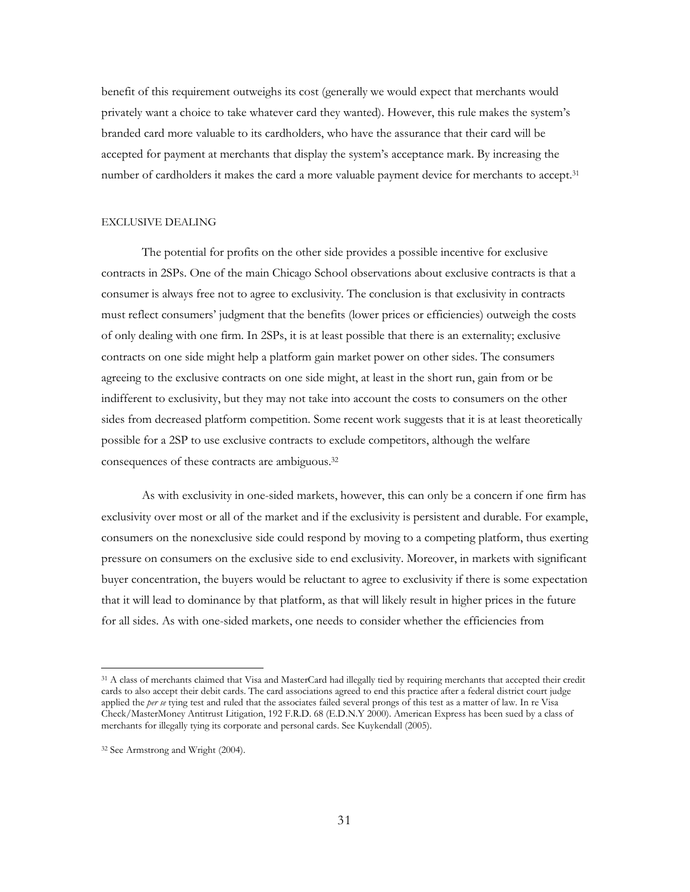benefit of this requirement outweighs its cost (generally we would expect that merchants would privately want a choice to take whatever card they wanted). However, this rule makes the system's branded card more valuable to its cardholders, who have the assurance that their card will be accepted for payment at merchants that display the system's acceptance mark. By increasing the number of cardholders it makes the card a more valuable payment device for merchants to accept.<sup>31</sup>

# **EXCLUSIVE DEALING**

The potential for profits on the other side provides a possible incentive for exclusive contracts in 2SPs. One of the main Chicago School observations about exclusive contracts is that a consumer is always free not to agree to exclusivity. The conclusion is that exclusivity in contracts must reflect consumers' judgment that the benefits (lower prices or efficiencies) outweigh the costs of only dealing with one firm. In 2SPs, it is at least possible that there is an externality; exclusive contracts on one side might help a platform gain market power on other sides. The consumers agreeing to the exclusive contracts on one side might, at least in the short run, gain from or be indifferent to exclusivity, but they may not take into account the costs to consumers on the other sides from decreased platform competition. Some recent work suggests that it is at least theoretically possible for a 2SP to use exclusive contracts to exclude competitors, although the welfare consequences of these contracts are ambiguous.<sup>32</sup>

As with exclusivity in one-sided markets, however, this can only be a concern if one firm has exclusivity over most or all of the market and if the exclusivity is persistent and durable. For example, consumers on the nonexclusive side could respond by moving to a competing platform, thus exerting pressure on consumers on the exclusive side to end exclusivity. Moreover, in markets with significant buyer concentration, the buyers would be reluctant to agree to exclusivity if there is some expectation that it will lead to dominance by that platform, as that will likely result in higher prices in the future for all sides. As with one-sided markets, one needs to consider whether the efficiencies from

<sup>31</sup> A class of merchants claimed that Visa and MasterCard had illegally tied by requiring merchants that accepted their credit cards to also accept their debit cards. The card associations agreed to end this practice after a federal district court judge applied the per se tying test and ruled that the associates failed several prongs of this test as a matter of law. In re Visa Check/MasterMoney Antitrust Litigation, 192 F.R.D. 68 (E.D.N.Y 2000). American Express has been sued by a class of merchants for illegally tying its corporate and personal cards. See Kuykendall (2005).

<sup>&</sup>lt;sup>32</sup> See Armstrong and Wright (2004).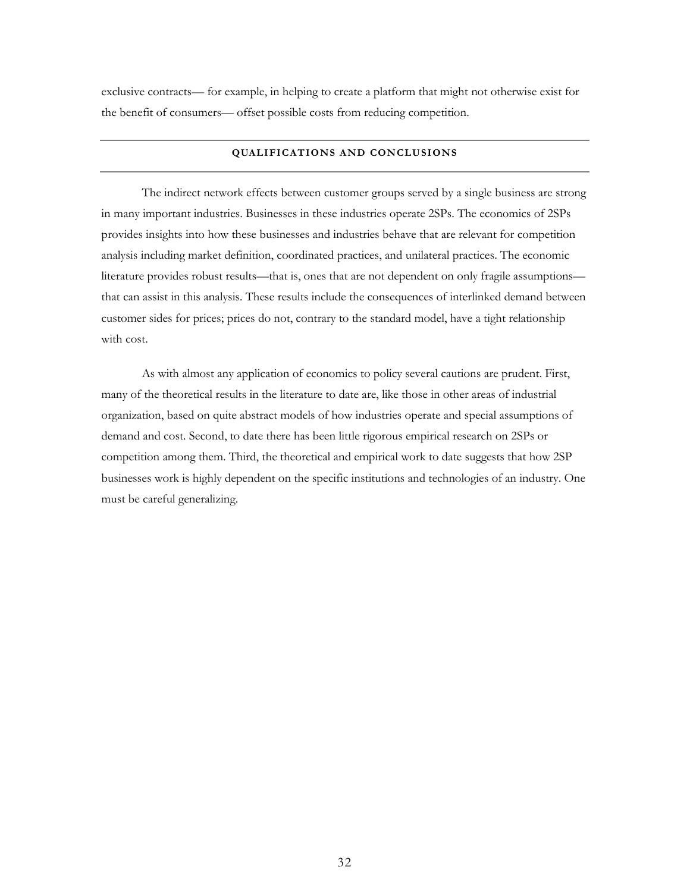exclusive contracts— for example, in helping to create a platform that might not otherwise exist for the benefit of consumers— offset possible costs from reducing competition.

# QUALIFICATIONS AND CONCLUSIONS

The indirect network effects between customer groups served by a single business are strong in many important industries. Businesses in these industries operate 2SPs. The economics of 2SPs provides insights into how these businesses and industries behave that are relevant for competition analysis including market definition, coordinated practices, and unilateral practices. The economic literature provides robust results—that is, ones that are not dependent on only fragile assumptions that can assist in this analysis. These results include the consequences of interlinked demand between customer sides for prices; prices do not, contrary to the standard model, have a tight relationship with cost.

As with almost any application of economics to policy several cautions are prudent. First, many of the theoretical results in the literature to date are, like those in other areas of industrial organization, based on quite abstract models of how industries operate and special assumptions of demand and cost. Second, to date there has been little rigorous empirical research on 2SPs or competition among them. Third, the theoretical and empirical work to date suggests that how 2SP businesses work is highly dependent on the specific institutions and technologies of an industry. One must be careful generalizing.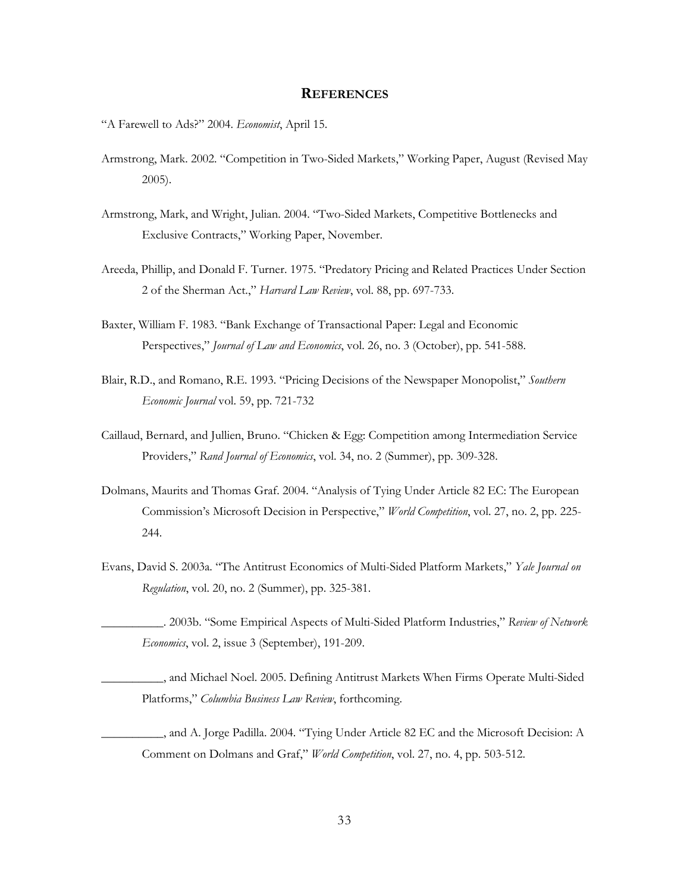# **REFERENCES**

- "A Farewell to Ads?" 2004. Economist, April 15.
- Armstrong, Mark. 2002. "Competition in Two-Sided Markets," Working Paper, August (Revised May  $2005$ ).
- Armstrong, Mark, and Wright, Julian. 2004. "Two-Sided Markets, Competitive Bottlenecks and Exclusive Contracts," Working Paper, November.
- Areeda, Phillip, and Donald F. Turner. 1975. "Predatory Pricing and Related Practices Under Section 2 of the Sherman Act.," Harvard Law Review, vol. 88, pp. 697-733.
- Baxter, William F. 1983. "Bank Exchange of Transactional Paper: Legal and Economic Perspectives," Journal of Law and Economics, vol. 26, no. 3 (October), pp. 541-588.
- Blair, R.D., and Romano, R.E. 1993. "Pricing Decisions of the Newspaper Monopolist," Southern Economic Journal vol. 59, pp. 721-732
- Caillaud, Bernard, and Jullien, Bruno. "Chicken & Egg: Competition among Intermediation Service Providers," Rand Journal of Economics, vol. 34, no. 2 (Summer), pp. 309-328.
- Dolmans, Maurits and Thomas Graf. 2004. "Analysis of Tying Under Article 82 EC: The European Commission's Microsoft Decision in Perspective," World Competition, vol. 27, no. 2, pp. 225-244.
- Evans, David S. 2003a. "The Antitrust Economics of Multi-Sided Platform Markets," Yale Journal on Regulation, vol. 20, no. 2 (Summer), pp. 325-381.
- . 2003b. "Some Empirical Aspects of Multi-Sided Platform Industries," Review of Network Economics, vol. 2, issue 3 (September), 191-209.
	- \_, and Michael Noel. 2005. Defining Antitrust Markets When Firms Operate Multi-Sided Platforms," Columbia Business Law Review, forthcoming.
	- , and A. Jorge Padilla. 2004. "Tying Under Article 82 EC and the Microsoft Decision: A Comment on Dolmans and Graf," World Competition, vol. 27, no. 4, pp. 503-512.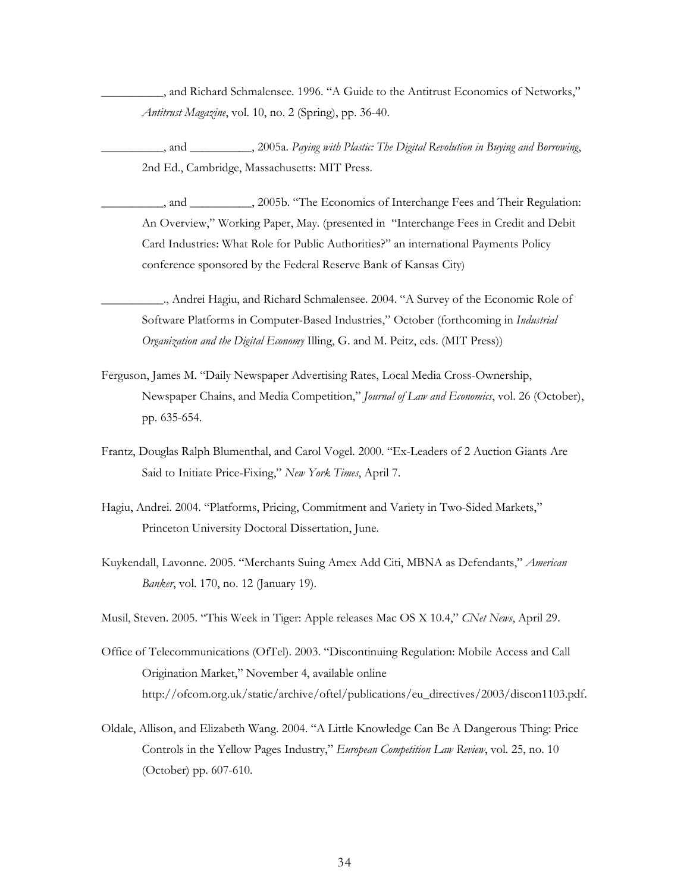, and Richard Schmalensee. 1996. "A Guide to the Antitrust Economics of Networks," Antitrust Magazine, vol. 10, no. 2 (Spring), pp. 36-40.

and \_\_\_\_\_\_\_\_\_\_\_\_, 2005a. Paying with Plastic: The Digital Revolution in Buying and Borrowing, 2nd Ed., Cambridge, Massachusetts: MIT Press.

and 2005b. "The Economics of Interchange Fees and Their Regulation: An Overview," Working Paper, May. (presented in "Interchange Fees in Credit and Debit Card Industries: What Role for Public Authorities?" an international Payments Policy conference sponsored by the Federal Reserve Bank of Kansas City)

\_\_, Andrei Hagiu, and Richard Schmalensee. 2004. "A Survey of the Economic Role of Software Platforms in Computer-Based Industries," October (forthcoming in Industrial Organization and the Digital Economy Illing, G. and M. Peitz, eds. (MIT Press))

- Ferguson, James M. "Daily Newspaper Advertising Rates, Local Media Cross-Ownership, Newspaper Chains, and Media Competition," Journal of Law and Economics, vol. 26 (October), pp. 635-654.
- Frantz, Douglas Ralph Blumenthal, and Carol Vogel. 2000. "Ex-Leaders of 2 Auction Giants Are Said to Initiate Price-Fixing," New York Times, April 7.
- Hagiu, Andrei. 2004. "Platforms, Pricing, Commitment and Variety in Two-Sided Markets," Princeton University Doctoral Dissertation, June.
- Kuykendall, Lavonne. 2005. "Merchants Suing Amex Add Citi, MBNA as Defendants," American Banker, vol. 170, no. 12 (January 19).

Musil, Steven. 2005. "This Week in Tiger: Apple releases Mac OS X 10.4," CNet News, April 29.

- Office of Telecommunications (OfTel). 2003. "Discontinuing Regulation: Mobile Access and Call Origination Market," November 4, available online http://ofcom.org.uk/static/archive/oftel/publications/eu\_directives/2003/discon1103.pdf.
- Oldale, Allison, and Elizabeth Wang. 2004. "A Little Knowledge Can Be A Dangerous Thing: Price Controls in the Yellow Pages Industry," European Competition Law Review, vol. 25, no. 10 (October) pp. 607-610.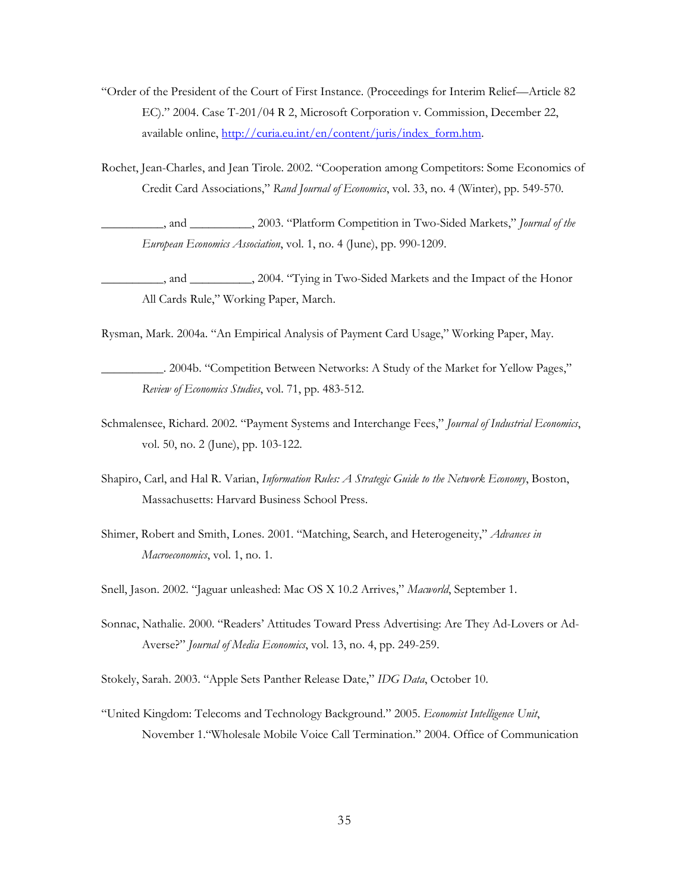- "Order of the President of the Court of First Instance. (Proceedings for Interim Relief-Article 82 EC)." 2004. Case T-201/04 R 2, Microsoft Corporation v. Commission, December 22, available online, http://curia.eu.int/en/content/juris/index\_form.htm.
- Rochet, Jean-Charles, and Jean Tirole. 2002. "Cooperation among Competitors: Some Economics of Credit Card Associations," Rand Journal of Economics, vol. 33, no. 4 (Winter), pp. 549-570.
- , and \_\_\_\_\_\_\_\_\_, 2003. "Platform Competition in Two-Sided Markets," Journal of the European Economics Association, vol. 1, no. 4 (June), pp. 990-1209.
- All Cards Rule," Working Paper, March.

Rysman, Mark. 2004a. "An Empirical Analysis of Payment Card Usage," Working Paper, May.

... 2004b. "Competition Between Networks: A Study of the Market for Yellow Pages," Review of Economics Studies, vol. 71, pp. 483-512.

- Schmalensee, Richard. 2002. "Payment Systems and Interchange Fees," Journal of Industrial Economics, vol. 50, no. 2 (June), pp. 103-122.
- Shapiro, Carl, and Hal R. Varian, Information Rules: A Strategic Guide to the Network Economy, Boston, Massachusetts: Harvard Business School Press.
- Shimer, Robert and Smith, Lones. 2001. "Matching, Search, and Heterogeneity," Advances in Macroeconomics, vol. 1, no. 1.
- Snell, Jason. 2002. "Jaguar unleashed: Mac OS X 10.2 Arrives," Macworld, September 1.
- Sonnac, Nathalie. 2000. "Readers' Attitudes Toward Press Advertising: Are They Ad-Lovers or Ad-Averse?" Journal of Media Economics, vol. 13, no. 4, pp. 249-259.
- Stokely, Sarah. 2003. "Apple Sets Panther Release Date," IDG Data, October 10.
- "United Kingdom: Telecoms and Technology Background." 2005. Economist Intelligence Unit, November 1. "Wholesale Mobile Voice Call Termination." 2004. Office of Communication